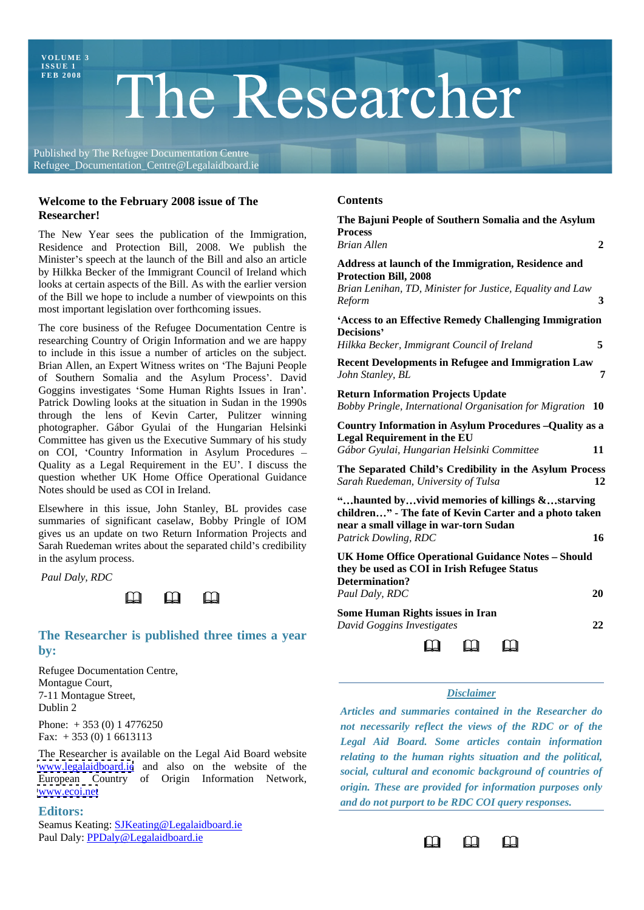**VOL UME 3**

# **I SS UE 1**  $\Gamma$  **he Researcher**

Published by The Refugee Documentation Centre Refugee\_Documentation\_Centre@Legalaidboard.ie

# **Welcome to the February 2008 issue of The Researcher!**



# **The Researcher is published three times a year by:**

Refugee Documentation Centre, Montague Court, **Exercía e Santague Court, estableceu e a contra el contra el contra el contra el contra el contra el contra el contra el contra el contra el contra el contra el contra el contra el contra el contra el cont** The Terming of Street, Theorem 2012, 1996. The Street Street, Theorem 2013 and Termina and Termina and Termina and Termina and Termina and Termina and Termina and Termina and Termina and Termina and Termina and Termina and

The Researcher is available on the Legal Aid Board website [www.legalaidboard.ie](http://www.legalaidboard.ie) and also on the website of the European Country of Origin Information Network, [www.ecoi.net](http://www.ecoi.net) *origin. These are provided for information purposes only*

Seamus Keating: **SJKeating@Legalaidboard.ie** Paul Daly: **PPDaly@Legalaidboard.ie Contained a structure of the Contained Account Contained Account Contained Account Contained Account Contained Account Contained Account Contained Account Contained Account Contained A** 

## **Contents**

| <b>kesearcner:</b>                                                                                                                                                                                                                                                                                                                                  | The Bajuni People of Southern Somalia and the Asylum                                                                                                                 |    |
|-----------------------------------------------------------------------------------------------------------------------------------------------------------------------------------------------------------------------------------------------------------------------------------------------------------------------------------------------------|----------------------------------------------------------------------------------------------------------------------------------------------------------------------|----|
| The New Year sees the publication of the Immigration,                                                                                                                                                                                                                                                                                               | <b>Process</b>                                                                                                                                                       |    |
| Residence and Protection Bill, 2008. We publish the                                                                                                                                                                                                                                                                                                 | <b>Brian Allen</b>                                                                                                                                                   |    |
| Minister's speech at the launch of the Bill and also an article                                                                                                                                                                                                                                                                                     | Address at launch of the Immigration, Residence and                                                                                                                  |    |
| by Hilkka Becker of the Immigrant Council of Ireland which<br>ooks at certain aspects of the Bill. As with the earlier version                                                                                                                                                                                                                      | <b>Protection Bill, 2008</b>                                                                                                                                         |    |
| of the Bill we hope to include a number of viewpoints on this                                                                                                                                                                                                                                                                                       | Brian Lenihan, TD, Minister for Justice, Equality and Law<br>Reform                                                                                                  |    |
| nost important legislation over forthcoming issues.                                                                                                                                                                                                                                                                                                 |                                                                                                                                                                      |    |
| The core business of the Refugee Documentation Centre is                                                                                                                                                                                                                                                                                            | 'Access to an Effective Remedy Challenging Immigration<br>Decisions'                                                                                                 |    |
| researching Country of Origin Information and we are happy                                                                                                                                                                                                                                                                                          | Hilkka Becker, Immigrant Council of Ireland                                                                                                                          |    |
| to include in this issue a number of articles on the subject.                                                                                                                                                                                                                                                                                       | <b>Recent Developments in Refugee and Immigration Law</b>                                                                                                            |    |
| Brian Allen, an Expert Witness writes on 'The Bajuni People<br>of Southern Somalia and the Asylum Process'. David                                                                                                                                                                                                                                   | John Stanley, BL                                                                                                                                                     |    |
| Goggins investigates 'Some Human Rights Issues in Iran'                                                                                                                                                                                                                                                                                             | <b>Return Information Projects Update</b>                                                                                                                            |    |
| Patrick Dowling looks at the situation in Sudan in the 1990s                                                                                                                                                                                                                                                                                        | Bobby Pringle, International Organisation for Migration 10                                                                                                           |    |
| hrough the lens of Kevin Carter, Pulitzer winning                                                                                                                                                                                                                                                                                                   | Country Information in Asylum Procedures - Quality as a                                                                                                              |    |
| photographer. Gábor Gyulai of the Hungarian Helsinki<br>Committee has given us the Executive Summary of his study                                                                                                                                                                                                                                   | <b>Legal Requirement in the EU</b>                                                                                                                                   |    |
| on COI, 'Country Information in Asylum Procedures                                                                                                                                                                                                                                                                                                   | Gábor Gyulai, Hungarian Helsinki Committee                                                                                                                           | 11 |
| Quality as a Legal Requirement in the EU'. I discuss the                                                                                                                                                                                                                                                                                            | The Separated Child's Credibility in the Asylum Process                                                                                                              |    |
| question whether UK Home Office Operational Guidance                                                                                                                                                                                                                                                                                                | Sarah Ruedeman, University of Tulsa                                                                                                                                  |    |
| Notes should be used as COI in Ireland.                                                                                                                                                                                                                                                                                                             | "haunted byvivid memories of killings &starving                                                                                                                      |    |
| Elsewhere in this issue, John Stanley, BL provides case                                                                                                                                                                                                                                                                                             | children" - The fate of Kevin Carter and a photo taken                                                                                                               |    |
| summaries of significant caselaw, Bobby Pringle of IOM                                                                                                                                                                                                                                                                                              | near a small village in war-torn Sudan                                                                                                                               |    |
| gives us an update on two Return Information Projects and<br>Sarah Ruedeman writes about the separated child's credibility                                                                                                                                                                                                                          | Patrick Dowling, RDC                                                                                                                                                 |    |
| n the asylum process.                                                                                                                                                                                                                                                                                                                               | <b>UK Home Office Operational Guidance Notes - Should</b>                                                                                                            |    |
| Paul Daly, RDC                                                                                                                                                                                                                                                                                                                                      | they be used as COI in Irish Refugee Status                                                                                                                          |    |
|                                                                                                                                                                                                                                                                                                                                                     | Determination?<br>Paul Daly, RDC                                                                                                                                     |    |
| $\begin{picture}(20,20) \put(0,0){\line(1,0){10}} \put(15,0){\line(1,0){10}} \put(15,0){\line(1,0){10}} \put(15,0){\line(1,0){10}} \put(15,0){\line(1,0){10}} \put(15,0){\line(1,0){10}} \put(15,0){\line(1,0){10}} \put(15,0){\line(1,0){10}} \put(15,0){\line(1,0){10}} \put(15,0){\line(1,0){10}} \put(15,0){\line(1,0){10}} \put(15,0){\line(1$ |                                                                                                                                                                      |    |
|                                                                                                                                                                                                                                                                                                                                                     | <b>Some Human Rights issues in Iran</b>                                                                                                                              | 22 |
| The Researcher is published three times a year                                                                                                                                                                                                                                                                                                      | David Goggins Investigates                                                                                                                                           |    |
|                                                                                                                                                                                                                                                                                                                                                     | $\begin{array}{ccc}\n\mathbf{r} & \mathbf{r} & \mathbf{r} & \mathbf{r} \\ \mathbf{r} & \mathbf{r} & \mathbf{r} \\ \mathbf{r} & \mathbf{r} & \mathbf{r}\n\end{array}$ |    |

# *Disclaimer*

Dublin 2 *Articles and summaries contained in the Researcher do* Phone: + 353 (0) 1 4776250 *not necessarily reflect the views of the RDC or of the* Fax: + 353 (0) 1 6613113 *Legal Aid Board. Some articles contain information* Editors: *relating to the human rights situation and the political, social, cultural and economic background of countries of and do not purport to be RDC COI query responses.*

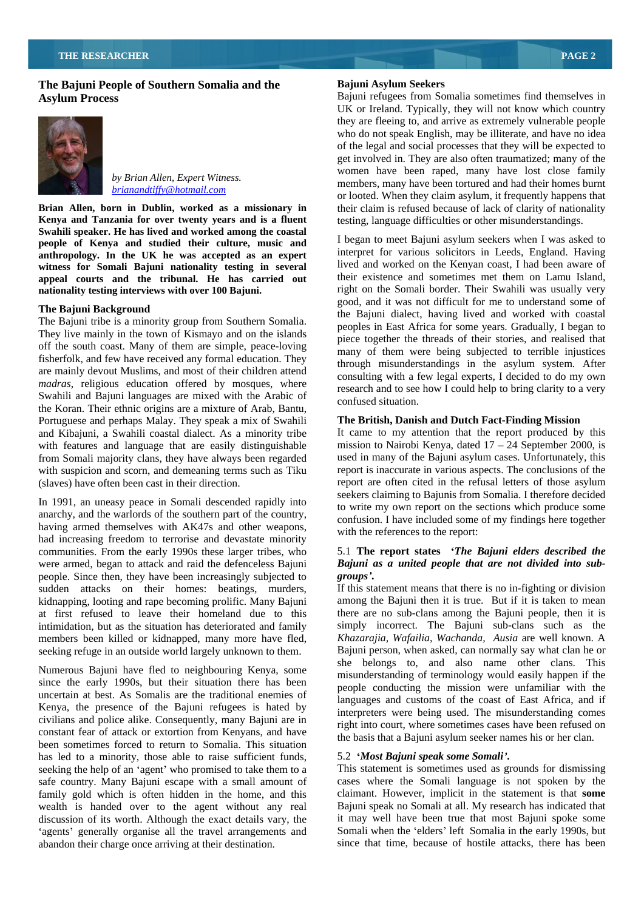# **The Bajuni People of Southern Somalia and the**



**Kenya and Tanzania for over twenty years and is a fluent** testing, language difficulties or other misunderstandings. **Swahili speaker. He has lived and worked among the coastal people of Kenya and studied their culture, music and anthropology. In the UK he was accepted as an expert witness for Somali Bajuni nationality testing in several appeal courts and the tribunal. He has carried out**

The Bajuni tribe is a minority group from Southern Somalia. They live mainly in the town of Kismayo and on the islands off the south coast. Many of them are simple, peace-loving fisherfolk, and few have received any formal education. They are mainly devout Muslims, and most of their children attend *madras*, religious education offered by mosques, where Swahili and Bajuni languages are mixed with the Arabic of confused situation. the Koran. Their ethnic origins are a mixture of Arab, Bantu, Portuguese and perhaps Malay. They speak a mix of Swahili and Kibajuni, a Swahili coastal dialect. As a minority tribe with features and language that are easily distinguishable from Somali majority clans, they have always been regarded used in many of the Bajuni asylum cases. Unfortunately, this with suspicion and scorn, and demeaning terms such as Tiku report is inaccurate in various aspects. The conclusions of the

anarchy, and the warlords of the southern part of the country, having armed themselves with AK47s and other weapons, had increasing freedom to terrorise and devastate minority communities. From the early 1990s these larger tribes, who people. Since then, they have been increasingly subjected to **groups'**. sudden attacks on their homes: beatings, murders, kidnapping, looting and rape becoming prolific. Many Bajuni at first refused to leave their homeland due to this members been killed or kidnapped, many more have fled, seeking refuge in an outside world largely unknown to them.

Numerous Bajuni have fled to neighbouring Kenya, some since the early 1990s, but their situation there has been uncertain at best. As Somalis are the traditional enemies of Kenya, the presence of the Bajuni refugees is hated by civilians and police alike. Consequently, many Bajuni are in constant fear of attack or extortion from Kenyans, and have been sometimes forced to return to Somalia. This situation has led to a minority, those able to raise sufficient funds, seeking the help of an 'agent' who promised to take them to a safe country. Many Bajuni escape with a small amount of family gold which is often hidden in the home, and this claimant. However, implicit in the statement is that **some**  wealth is handed over to the agent without any real Bajuni speak no Somali at all. My research has indicated that discussion of its worth. Although the exact details vary, the it may well have been true that most Bajuni spoke some 'agents' generally organise all the travel arrangements and abandon their charge once arriving at their destination.

### **Bajuni Asylum Seekers**

**Asylum Process**  Bajuni refugees from Somalia sometimes find themselves in by Brian Allen, Expert Witness.<br>
members, many have been tortured and had their homes burnt<br>
hydrographifical hottographs of the summer burnt **brianandtiffy@hotmail.com**<br>
or looted. When they claim asylum, it frequently happens that **Brian Allen, born in Dublin, worked as a missionary in** their claim is refused because of lack of clarity of nationality UK or Ireland. Typically, they will not know which country they are fleeing to, and arrive as extremely vulnerable people who do not speak English, may be illiterate, and have no idea of the legal and social processes that they will be expected to get involved in. They are also often traumatized; many of the women have been raped, many have lost close family

**nationality testing interviews with over 100 Bajuni.**  right on the Somali border. Their Swahili was usually very **The Bajuni Background**<br>
the Bajuni dialect, having lived and worked with coastal I began to meet Bajuni asylum seekers when I was asked to interpret for various solicitors in Leeds, England. Having lived and worked on the Kenyan coast, I had been aware of their existence and sometimes met them on Lamu Island, good, and it was not difficult for me to understand some of peoples in East Africa for some years. Gradually, I began to piece together the threads of their stories, and realised that many of them were being subjected to terrible injustices through misunderstandings in the asylum system. After consulting with a few legal experts, I decided to do my own research and to see how I could help to bring clarity to a very confused situation.

## **The British, Danish and Dutch Fact-Finding Mission**

(slaves) have often been cast in their direction. The expected report are often cited in the refusal letters of those asylum<br>In 1991, an uneasy peace in Somali descended rapidly into<br>the write my own report on the sections It came to my attention that the report produced by this mission to Nairobi Kenya, dated  $17 - 24$  September 2000, is report are often cited in the refusal letters of those asylum seekers claiming to Bajunis from Somalia. I therefore decided to write my own report on the sections which produce some confusion. I have included some of my findings here together with the references to the report:

# were armed, began to attack and raid the defenceless Bajuni *Bajuni as a united people that are not divided into sub-* 5.1 **The report states** *The Bajuni elders described the groups* **.**

intimidation, but as the situation has deteriorated and family simply incorrect. The Bajuni sub-clans such as the If this statement means that there is no in-fighting or division among the Bajuni then it is true. But if it is taken to mean there are no sub-clans among the Bajuni people, then it is *Khazarajia, Wafailia, Wachanda, Ausia* are well known. A Bajuni person, when asked, can normally say what clan he or she belongs to, and also name other clans. This misunderstanding of terminology would easily happen if the people conducting the mission were unfamiliar with the languages and customs of the coast of East Africa, and if interpreters were being used. The misunderstanding comes right into court, where sometimes cases have been refused on the basis that a Bajuni asylum seeker names his or her clan.

### 5.2 *Most Bajuni speak some Somali* **.**

This statement is sometimes used as grounds for dismissing cases where the Somali language is not spoken by the Somali when the 'elders' left Somalia in the early 1990s, but since that time, because of hostile attacks, there has been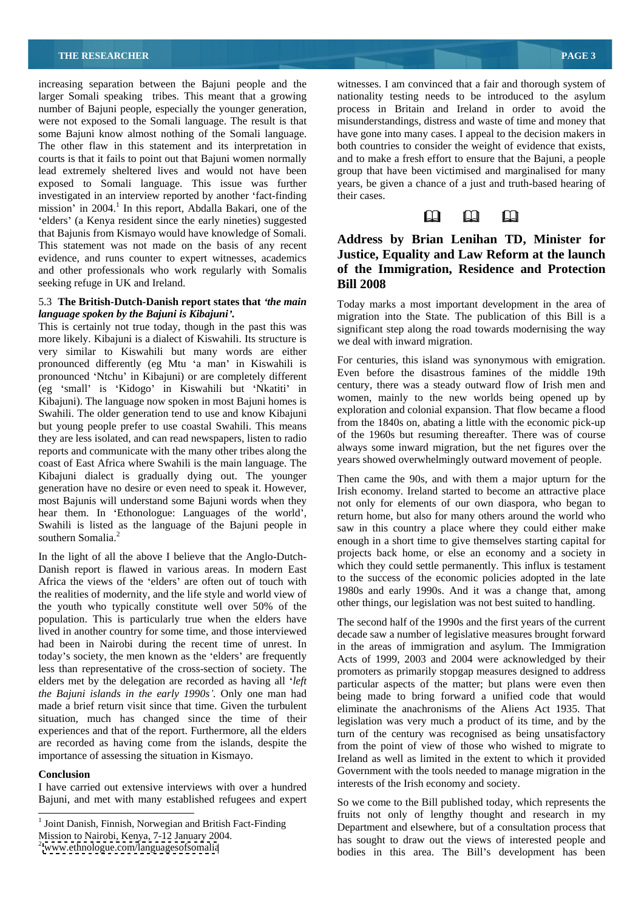increasing separation between the Bajuni people and the larger Somali speaking tribes. This meant that a growing larger Somali speaking tribes. This meant that a growing nationality testing needs to be introduced to the asylum number of Bajuni people, especially the younger generation, process in Britain and Ireland in order to avoid the were not exposed to the Somali language. The result is that misunderstandings, distress and waste of time and money that some Bajuni know almost nothing of the Somali language. have gone into many cases. I appeal to the decision makers in The other flaw in this statement and its interpretation in both countries to consider the weight of evidence that exists, courts is that it fails to point out that Bajuni women normally and to make a fresh effort to ensure that the Bajuni, a people lead extremely sheltered lives and would not have been group that have been victimised and marginalised for many exposed to Somali language. This issue was further years, be given a chance of a just and truth-based hearing of investigated in an interview reported by another 'fact-finding their cases. mission' in 2004.<sup>1</sup> In this report, Abdalla Bakari, one of the elders' (a Kenya resident since the early nineties) suggested  $\Box$ that Bajunis from Kismayo would have knowledge of Somali. This statement was not made on the basis of any recent evidence, and runs counter to expert witnesses, academics seeking refuge in UK and Ireland. Bill 2008

# 5.3 **The British-Dutch-Danish report states that** *the main*

more likely. Kibajuni is a dialect of Kiswahili. Its structure is very similar to Kiswahili but many words are either pronounced differently (eg Mtu 'a man' in Kiswahili is pronounced 'Ntchu' in Kibajuni) or are completely different (eg 'small' is 'Kidogo' in Kiswahili but 'Nkatiti' in Kibajuni). The language now spoken in most Bajuni homes is Swahili. The older generation tend to use and know Kibajuni but young people prefer to use coastal Swahili. This means they are less isolated, and can read newspapers, listen to radio reports and communicate with the many other tribes along the coast of East Africa where Swahili is the main language. The Kibajuni dialect is gradually dying out. The younger generation have no desire or even need to speak it. However, Irish economy. Ireland started to become an attractive place most Bajunis will understand some Bajuni words when they not only for elements of our own diaspora, who began to hear them. In 'Ethonologue: Languages of the world', Swahili is listed as the language of the Bajuni people in southern Somalia.<sup>2</sup>

In the light of all the above I believe that the Anglo-Dutch- Danish report is flawed in various areas. In modern East Africa the views of the 'elders' are often out of touch with the realities of modernity, and the life style and world view of the youth who typically constitute well over 50% of the population. This is particularly true when the elders have The second half of the 1990s and the first years of the current lived in another country for some time, and those interviewed had been in Nairobi during the recent time of unrest. In today's society, the men known as the 'elders' are frequently less than representative of the cross-section of society. The elders met by the delegation are recorded as having all 'left elders met by the delegation are recorded as having all *left* particular aspects of the matter; but plans were even then *the Bajuni islands in the early 1990s .* Only one man had being made to bring forward a unified code that would made a brief return visit since that time. Given the turbulent eliminate the anachronisms of the Aliens Act 1935. That situation, much has changed since the time of their experiences and that of the report. Furthermore, all the elders are recorded as having come from the islands, despite the

I have carried out extensive interviews with over a hundred Bajuni, and met with many established refugees and expert witnesses. I am convinced that a fair and thorough system of their cases.

# and other professionals who work regularly with Somalis **of the Immigration, Residence and Protection Address by Brian Lenihan TD, Minister for Justice, Equality and Law Reform at the launch Bill 2008**

*language spoken by the Bajuni is Kibajuni*.<br>
This is certainly not true today, though in the past this was significant step along the road towards modernising the way Today marks a most important development in the area of significant step along the road towards modernising the way we deal with inward migration.

> For centuries, this island was synonymous with emigration. Even before the disastrous famines of the middle 19th century, there was a steady outward flow of Irish men and women, mainly to the new worlds being opened up by exploration and colonial expansion. That flow became a flood from the 1840s on, abating a little with the economic pick-up of the 1960s but resuming thereafter. There was of course always some inward migration, but the net figures over the years showed overwhelmingly outward movement of people.

southern Somalia.<sup>2</sup><br>
enough in a short time to give themselves starting capital for Then came the 90s, and with them a major upturn for the return home, but also for many others around the world who saw in this country a place where they could either make projects back home, or else an economy and a society in which they could settle permanently. This influx is testament to the success of the economic policies adopted in the late 1980s and early 1990s. And it was a change that, among other things, our legislation was not best suited to handling.

importance of assessing the situation in Kismayo. Ireland as well as limited in the extent to which it provided **Conclusion** Government with the tools needed to manage migration in the decade saw a number of legislative measures brought forward in the areas of immigration and asylum. The Immigration Acts of 1999, 2003 and 2004 were acknowledged by their promoters as primarily stopgap measures designed to address legislation was very much a product of its time, and by the turn of the century was recognised as being unsatisfactory from the point of view of those who wished to migrate to interests of the Irish economy and society.

Fruits not only of lengthy thought and research in my Joint Danish, Finnish, Norwegian and British Fact-Finding Department and elsewhere, but of a consultation process that Mission to Nairobi, Kenya, 7-12 January 2004.<br>  $\frac{2}{x}$  has sought to draw out the views of interested people and  $\frac{2}{x}$ www.ethnologue.com/languagesofsomalia bodies in this area. The Bill's development has been So we come to the Bill published today, which represents the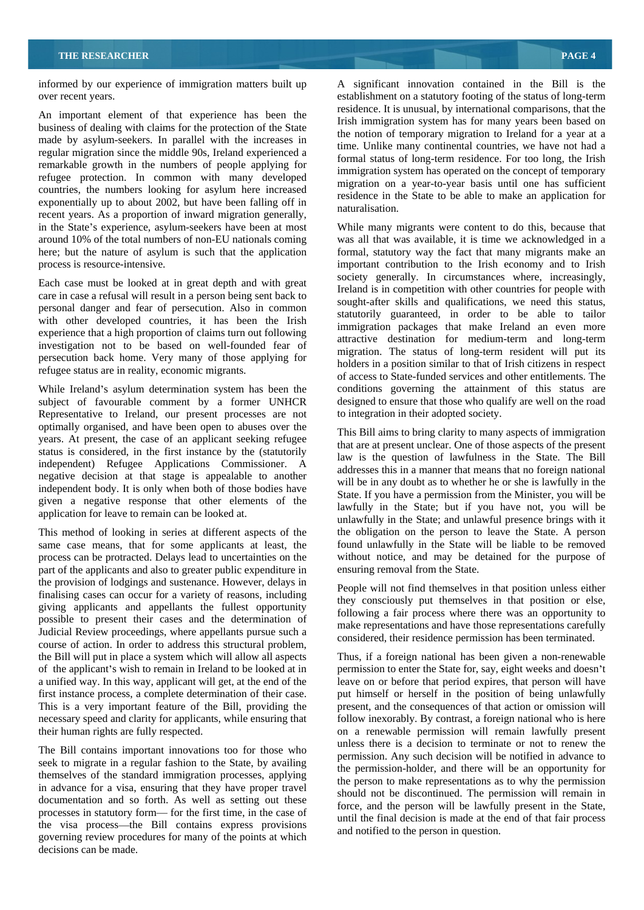informed by our experience of immigration matters built up A significant innovation contained in the Bill is the

An important element of that experience has been the business of dealing with claims for the protection of the State made by asylum-seekers. In parallel with the increases in regular migration since the middle 90s, Ireland experienced a remarkable growth in the numbers of people applying for refugee protection. In common with many developed countries, the numbers looking for asylum here increased exponentially up to about 2002, but have been falling off in the naturalisation. recent years. As a proportion of inward migration generally, in the State's experience, asylum-seekers have been at most While many migrants were content to do this, because that

Each case must be looked at in great depth and with great care in case a refusal will result in a person being sent back to personal danger and fear of persecution. Also in common with other developed countries, it has been the Irish experience that a high proportion of claims turn out following investigation not to be based on well-founded fear of persecution back home. Very many of those applying for refugee status are in reality, economic migrants.

While Ireland's asylum determination system has been the subject of favourable comment by a former UNHCR Representative to Ireland, our present processes are not optimally organised, and have been open to abuses over the years. At present, the case of an applicant seeking refugee status is considered, in the first instance by the (statutorily independent) Refugee Applications Commissioner. A negative decision at that stage is appealable to another independent body. It is only when both of those bodies have given a negative response that other elements of the application for leave to remain can be looked at.

This method of looking in series at different aspects of the same case means, that for some applicants at least, the part of the applicants and also to greater public expenditure in the provision of lodgings and sustenance. However, delays in finalising cases can occur for a variety of reasons, including giving applicants and appellants the fullest opportunity possible to present their cases and the determination of Judicial Review proceedings, where appellants pursue such a course of action. In order to address this structural problem, the Bill will put in place a system which will allow all aspects Thus, if a foreign national has been given a non-renewable

The Bill contains important innovations too for those who seek to migrate in a regular fashion to the State, by availing themselves of the standard immigration processes, applying in advance for a visa, ensuring that they have proper travel documentation and so forth. As well as setting out these processes in statutory form— for the first time, in the case of the visa process—the Bill contains express provisions governing review procedures for many of the points at which decisions can be made.

over recent years. establishment on a statutory footing of the status of long-term residence. It is unusual, by international comparisons, that the Irish immigration system has for many years been based on the notion of temporary migration to Ireland for a year at a time. Unlike many continental countries, we have not had a formal status of long-term residence. For too long, the Irish immigration system has operated on the concept of temporary migration on a year-to-year basis until one has sufficient residence in the State to be able to make an application for naturalisation.

around 10% of the total numbers of non-EU nationals coming was all that was available, it is time we acknowledged in a here; but the nature of asylum is such that the application formal, statutory way the fact that many migrants make an process is resource-intensive. important contribution to the Irish economy and to Irish society generally. In circumstances where, increasingly, Ireland is in competition with other countries for people with sought-after skills and qualifications, we need this status, statutorily guaranteed, in order to be able to tailor immigration packages that make Ireland an even more attractive destination for medium-term and long-term migration. The status of long-term resident will put its holders in a position similar to that of Irish citizens in respect of access to State-funded services and other entitlements. The conditions governing the attainment of this status are designed to ensure that those who qualify are well on the road to integration in their adopted society.

process can be protracted. Delays lead to uncertainties on the without notice, and may be detained for the purpose of This Bill aims to bring clarity to many aspects of immigration that are at present unclear. One of those aspects of the present law is the question of lawfulness in the State. The Bill addresses this in a manner that means that no foreign national will be in any doubt as to whether he or she is lawfully in the State. If you have a permission from the Minister, you will be lawfully in the State; but if you have not, you will be unlawfully in the State; and unlawful presence brings with it the obligation on the person to leave the State. A person found unlawfully in the State will be liable to be removed ensuring removal from the State.

> People will not find themselves in that position unless either they consciously put themselves in that position or else, following a fair process where there was an opportunity to make representations and have those representations carefully considered, their residence permission has been terminated.

of the applicant's wish to remain in Ireland to be looked at in permission to enter the State for, say, eight weeks and doesn't a unified way. In this way, applicant will get, at the end of the leave on or before that period expires, that person will have first instance process, a complete determination of their case. put himself or herself in the position of being unlawfully This is a very important feature of the Bill, providing the present, and the consequences of that action or omission will necessary speed and clarity for applicants, while ensuring that follow inexorably. By contrast, a foreign national who is here their human rights are fully respected. on a renewable permission will remain lawfully present unless there is a decision to terminate or not to renew the permission. Any such decision will be notified in advance to the permission-holder, and there will be an opportunity for the person to make representations as to why the permission should not be discontinued. The permission will remain in force, and the person will be lawfully present in the State, until the final decision is made at the end of that fair process and notified to the person in question.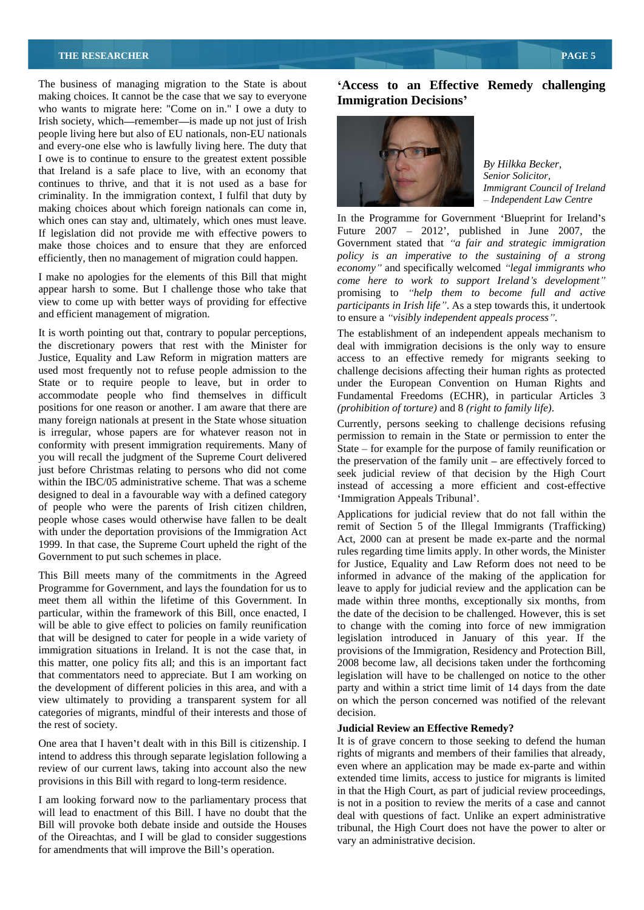### **THE RESEARCHER <b>PAGE 5**

The business of managing migration to the State is about **Access to an Effective Remedy challenging** making choices. It cannot be the case that we say to everyone **Immigration Decisions'** who wants to migrate here: "Come on in." I owe a duty to Irish society, which—remember—is made up not just of Irish people living here but also of EU nationals, non-EU nationals and every-one else who is lawfully living here. The duty that I owe is to continue to ensure to the greatest extent possible<br>By Hilkka Becker. that Ireland is a safe place to live, with an economy that Senior Solicitor. continues to thrive, and that it is not used as a base for *Immigrant Council of Ireland* criminality. In the immigration context, I fulfil that duty by making choices about which foreign nationals can come in, which ones can stay and, ultimately, which ones must leave. efficiently, then no management of migration could happen.

I make no apologies for the elements of this Bill that might appear harsh to some. But I challenge those who take that view to come up with better ways of providing for effective

It is worth pointing out that, contrary to popular perceptions, The establishment of an independent appeals mechanism to the discretionary powers that rest with the Minister for deal with immigration decisions is the only way to ensure Justice, Equality and Law Reform in migration matters are access to an effective remedy for migrants seeking to used most frequently not to refuse people admission to the challenge decisions affecting their human rights as protected State or to require people to leave, but in order to under the European Convention on Human Rights and accommodate people who find themselves in difficult Fundamental Freedoms (ECHR), in particular Articles 3 positions for one reason or another. I am aware that there are *(prohibition of torture)* and 8 (right to family life). many foreign nationals at present in the State whose situation<br>Currently, persons seeking to challenge decisions refusing is irregular, whose papers are for whatever reason not in conformity with present immigration requirements. Many of you will recall the judgment of the Supreme Court delivered the preservation of the family unit – are effectively forced to just before Christmas relating to persons who did not come within the IBC/05 administrative scheme. That was a scheme designed to deal in a favourable way with a defined category of people who were the parents of Irish citizen children, people whose cases would otherwise have fallen to be dealt with under the deportation provisions of the Immigration Act 1999. In that case, the Supreme Court upheld the right of the Government to put such schemes in place. For more present in the same of the same of the same in the same of the same in the same of the same of the same of the same of the same of the same of the same of the same of the same of the same of the same of the same

view ultimately to providing a transparent system for all categories of migrants, mindful of their interests and those of the rest of society. **Judicial Review an Effective Remedy?**

One area that I haven't dealt with in this Bill is citizenship. I intend to address this through separate legislation following a review of our current laws, taking into account also the new provisions in this Bill with regard to long-term residence.

I am looking forward now to the parliamentary process that will lead to enactment of this Bill. I have no doubt that the Bill will provoke both debate inside and outside the Houses of the Oireachtas, and I will be glad to consider suggestions

# **Immigration Decisions**



*By Hilkka Becker, Senior Solicitor, Immigrant Council of Ireland Independent Law Centre*

If legislation did not provide me with effective powers to Future 2007 – 2012', published in June 2007, the make those choices and to ensure that they are enforced Government stated that "*a fair and strategic immigration* and efficient management of migration.<br>to ensure a "visibly independent appeals process". In the Programme for Government 'Blueprint for Ireland's Future  $2007 - 2012$ , published in June 2007, the Government stated that "*a fair and strategic immigration policy is an imperative to the sustaining of a strong economy*" and specifically welcomed "legal *immigrants* who *come here to work to support Ireland s development* promising to "help them to become full and active *participants in Irish life* . As a step towards this, it undertook to ensure a *"visibly independent appeals process"*.<br>The establishment of an independent appeals mechanism to

*(prohibition of torture)* and 8 *(right to family life)*. Currently, persons seeking to challenge decisions refusing

permission to remain in the State or permission to enter the State  $-$  for example for the purpose of family reunification or seek judicial review of that decision by the High Court instead of accessing a more efficient and cost-effective 'Immigration Appeals Tribunal'.

This Bill meets many of the commitments in the Agreed informed in advance of the making of the application for Programme for Government, and lays the foundation for us to leave to apply for judicial review and the application can be meet them all within the lifetime of this Government. In made within three months, exceptionally six months, from particular, within the framework of this Bill, once enacted, I the date of the decision to be challenged. However, this is set will be able to give effect to policies on family reunification to change with the coming into force of new immigration that will be designed to cater for people in a wide variety of legislation introduced in January of this year. If the immigration situations in Ireland. It is not the case that, in provisions of the Immigration, Residency and Protection Bill, this matter, one policy fits all; and this is an important fact 2008 become law, all decisions taken under the forthcoming that commentators need to appreciate. But I am working on legislation will have to be challenged on notice to the other the development of different policies in this area, and with a party and within a strict time limit of 14 days from the date Applications for judicial review that do not fall within the remit of Section 5 of the Illegal Immigrants (Trafficking) Act, 2000 can at present be made ex-parte and the normal rules regarding time limits apply. In other words, the Minister for Justice, Equality and Law Reform does not need to be on which the person concerned was notified of the relevant decision.

It is of grave concern to those seeking to defend the human rights of migrants and members of their families that already, even where an application may be made ex-parte and within extended time limits, access to justice for migrants is limited in that the High Court, as part of judicial review proceedings, is not in a position to review the merits of a case and cannot deal with questions of fact. Unlike an expert administrative tribunal, the High Court does not have the power to alter or vary an administrative decision.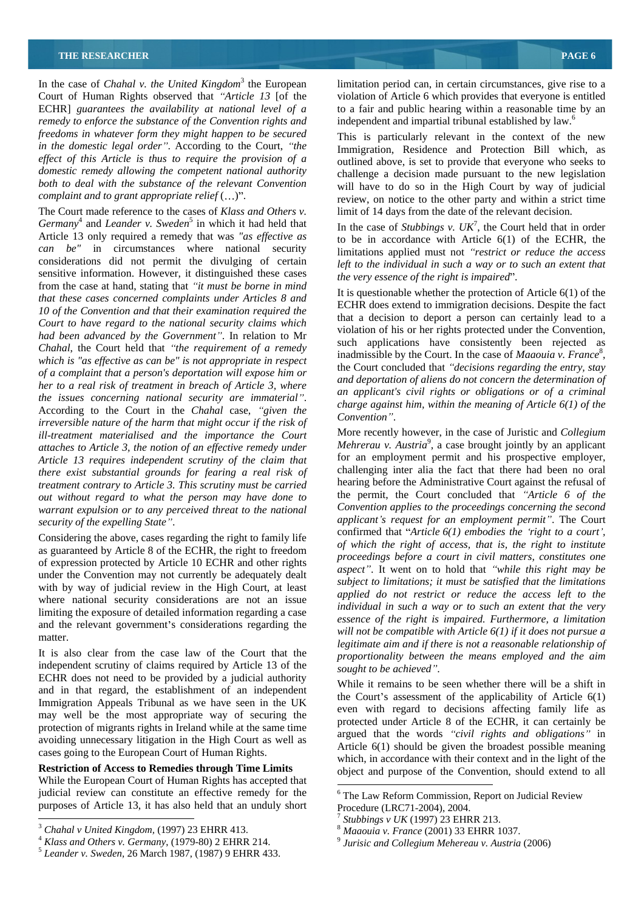In the case of *Chahal v. the United Kingdom*<sup>3</sup> the European limitation period can, in certain circumstances, give rise to a Court of Human Rights observed that "Article 13 [of the violation of Article 6 which provides that everyone is entitled ECHR] *guarantees the availability at national level of a* to a fair and public hearing within a reasonable time by an *remedy to enforce the substance of the Convention rights and freedoms in whatever form they might happen to be secured in the domestic legal order* . According to the Court, *the ef ect of this Article is thus to require the provision of a domestic remedy allowing the competent national authority both to deal with the substance of the relevant Convention*

The Court made reference to the cases of *Klass and Others v. Germany*<sup>4</sup> and *Leander v. Sweden*<sup>5</sup> in which it had held that and *Leander v. Sweden*<sup>5</sup> in which it had held that In the case of *Stubbings v.*  $UK^7$ , the Court held that in order Article 13 only required a remedy that was "as effective as *can be"* in circumstances where national security considerations did not permit the divulging of certain sensitive information. However, it distinguished these cases from the case at hand, stating that *it must be borne in mind that these cases concerned complaints under Articles 8 and 10 of the Convention and that their examination required the Court to have regard to the national security claims which had been advanced by the Government* . In relation to Mr *Chahal*, the Court held that "the requirement of a remedy *i* **mainlissive** by the Court. In the case of *mathoma v. France*,<br>the Court concluded that "decisions regarding the entry, stay *of a complaint that a person's deportation will expose him or her to a real risk of treatment in breach of Article 3, where the issues concerning national security are immaterial* . According to the Court in the *Chahal* case, *"given the*<br>According to the Court in the *Chahal* case, *"given the Compution*" *irreversible nature of the harm that might occur if the risk of ill-treatment materialised and the importance the Court attaches to Article 3, the notion of an ef ective remedy under Article 13 requires independent scrutiny of the claim that there exist substantial grounds for fearing a real risk of treatment contrary to Article 3. This scrutiny must be carried out without regard to what the person may have done to warrant expulsion or to any perceived threat to the national security of the expelling State*".

Considering the above, cases regarding the right to family life as guaranteed by Article 8 of the ECHR, the right to freedom of expression protected by Article 10 ECHR and other rights under the Convention may not currently be adequately dealt with by way of judicial review in the High Court, at least where national security considerations are not an issue limiting the exposure of detailed information regarding a case and the relevant government's considerations regarding the

It is also clear from the case law of the Court that the independent scrutiny of claims required by Article 13 of the sought to be achieved". ECHR does not need to be provided by a judicial authority and in that regard, the establishment of an independent Immigration Appeals Tribunal as we have seen in the UK may well be the most appropriate way of securing the protection of migrants rights in Ireland while at the same time avoiding unnecessary litigation in the High Court as well as cases going to the European Court of Human Rights.

While the European Court of Human Rights has accepted that judicial review can constitute an effective remedy for the purposes of Article 13, it has also held that an unduly short Procedure (LRC71-2004), 2004.

independent and impartial tribunal established by law.<sup>6</sup>

*complaint and to grant appropriate relief* (...)". review, on notice to the other party and within a strict time This is particularly relevant in the context of the new Immigration, Residence and Protection Bill which, as outlined above, is set to provide that everyone who seeks to challenge a decision made pursuant to the new legislation will have to do so in the High Court by way of judicial limit of 14 days from the date of the relevant decision.

> , the Court held that in order to be in accordance with Article 6(1) of the ECHR, the limitations applied must not *"restrict or reduce the access left to the individual in such a way or to such an extent that the very essence of the right is impaired*".

It is questionable whether the protection of Article 6(1) of the ECHR does extend to immigration decisions. Despite the fact that a decision to deport a person can certainly lead to a violation of his or her rights protected under the Convention, such applications have consistently been rejected as inadmissible by the Court. In the case of *Maaouia v. France*<sup>8</sup>, inadmissible by the Court. In the case of *Maaouia v. France<sup>8</sup>*, the Court concluded that *"decisions regarding the entry, stay and deportation of aliens do not concern the determination of an applicant's civil rights or obligations or of a criminal charge against him, within the meaning of Article 6(1) of the Convention* .

*security of the expelling State* . *applicant s request for an employment permit* . The Court matter.<br> *legitimate aim and if there is not a reasonable relationship of* More recently however, in the case of Juristic and *Collegium Mehrerau v. Austria*<sup>9</sup>, a case brought jointly by an applicant for an employment permit and his prospective employer, challenging inter alia the fact that there had been no oral hearing before the Administrative Court against the refusal of the permit, the Court concluded that *Article 6 of the Convention applies to the proceedings concerning the second* confirmed that *Article 6(1) embodies the right to a court , of which the right of access, that is, the right to institute proceedings before a court in civil matters, constitutes one aspect* . It went on to hold that *while this right may be subject to limitations; it must be satisfied that the limitations applied do not restrict or reduce the access left to the individual in such a way or to such an extent that the very essence of the right is impaired. Furthermore, a limitation will not be compatible with Article 6(1) if it does not pursue a proportionality between the means employed and the aim sought to be achieved* .

**Restriction of Access to Remedies through Time Limits** object and purpose of the Convention, should extend to all While it remains to be seen whether there will be a shift in the Court's assessment of the applicability of Article  $6(1)$ even with regard to decisions affecting family life as protected under Article 8 of the ECHR, it can certainly be argued that the words "*civil rights and obligations*" in Article 6(1) should be given the broadest possible meaning which, in accordance with their context and in the light of the

<sup>&</sup>lt;sup>3</sup> *Chahal v United Kingdom,* (1997) 23 EHRR 413.<br>
<sup>3</sup> *Klass and Others v. Germany,* (1979-80) 2 EHRR 214.<br>
<sup>4</sup> *Klass and Others v. Germany,* (1979-80) 2 EHRR 214.<br>
<sup>5</sup> *Leander v. Sweden,* 26 March 1987, (1987) 9 EHRR

 <sup>6</sup> The Law Reform Commission, Report on Judicial Review Procedure (LRC71-2004), 2004.<br><sup>7</sup> Stubbings v *UK* (1007) 22 EUPP 212

<sup>&</sup>lt;sup>*Stubbings v UK* (1997) 23 EHRR 213.<br><sup>8</sup> *Maaouia v. France* (2001) 33 EHRR 1037.<br><sup>9</sup> *Luisie and Collagium Maharagu v. Austris (2006*)</sup>

*Jurisic and Collegium Mehereau v. Austria* (2006)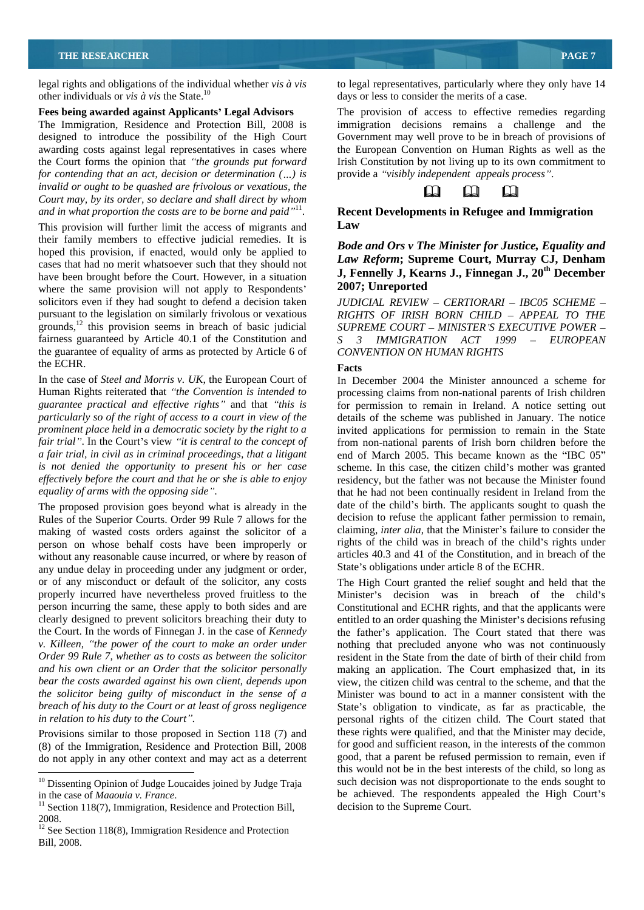legal rights and obligations of the individual whether *vis à vis* to legal representatives, particularly where they only have 14 other individuals or *vis à vis* the State.<sup>10</sup>

### **Fees being awarded against Applicants Legal Advisors**

the Court forms the opinion that "the grounds put forward *for contending that an act, decision or determination ( ) is invalid or ought to be quashed are frivolous or vexatious, the n n n n n n n n n Court may, by its order, so declare and shall direct by whom and in what proportion the costs are to be borne and paid* 11 . **Recent Developments in Refugee and Immigration** 

This provision will further limit the access of migrants and Law their family members to effective judicial remedies. It is hoped this provision, if enacted, would only be applied to cases that had no merit whatsoever such that they should not have been brought before the Court. However, in a situation **J**, **Fennelly J, Kea**<br>where the same provision will not apply to Respondents' 2007; Unreported where the same provision will not apply to Respondents' solicitors even if they had sought to defend a decision taken<br>pursuant to the legislation on similarly frivolous or vexatious pursuant to the legislation on similarly frivolous or vexatious *RIGHTS OF IRISH BORN CHILD APPEAL TO THE* grounds, $12$  this provision seems in breach of basic judicial fairness guaranteed by Article 40.1 of the Constitution and fairness guaranteed by Article 40.1 of the Constitution and *S 3 IMMIGRATION ACT 1999 EUROPEAN* the guarantee of equality of arms as protected by Article 6 of CONVENTION ON HUMAN RIGHTS the ECHR.

In the case of *Steel and Morris v. UK*, the European Court of In December 2004 the Minister announced a scheme for *guarantee practical and ef ective rights* and that *this is*

The proposed provision goes beyond what is already in the Rules of the Superior Courts. Order 99 Rule 7 allows for the making of wasted costs orders against the solicitor of a person on whose behalf costs have been improperly or without any reasonable cause incurred, or where by reason of any undue delay in proceeding under any judgment or order, *Order 99 Rule 7, whether as to costs as between the solicitor*

Provisions similar to those proposed in Section 118 (7) and (8) of the Immigration, Residence and Protection Bill, 2008 do not apply in any other context and may act as a deterrent days or less to consider the merits of a case.

The Immigration, Residence and Protection Bill, 2008 is immigration decisions remains a challenge and the designed to introduce the possibility of the High Court Government may well prove to be in breach of provisions of awarding costs against legal representatives in cases where the European Convention on Human Rights as well as the The provision of access to effective remedies regarding Irish Constitution by not living up to its own commitment to provide a *visibly independent appeals process* .



# **Law**

### *Bode and Ors v The Minister for Justice, Equality and Law Reform***; Supreme Court, Murray CJ, Denham J, Fennelly J, Kearns J., Finnegan J., 20 th December 2007; Unreported**

*JUDICIAL REVIEW - CERTIORARI - IBC05 SCHEME -SUPREME COURT MINISTER S EXECUTIVE POWER CONVENTION ON HUMAN RIGHTS*

## **Facts**

Human Rights reiterated that *the Convention is intended to* processing claims from non-national parents of Irish children *particularly so of the right of access to a court in view of the* details of the scheme was published in January. The notice *prominent place held in a democratic society by the right to a*  invited applications for permission to remain in the State *fair trial*". In the Court's view "*it is central to the concept of* from non-national parents of Irish born children before the *a fair trial, in civil as in criminal proceedings, that a litigant* end of March 2005. This became known as the "IBC 05" *is not denied the opportunity to present his or <i>her case* scheme. In this case, the citizen child's mother was granted *ef ectively before the court and that he or she is able to enjoy* residency, but the father was not because the Minister found *equality of arms with the opposing side* . that he had not been continually resident in Ireland from the for permission to remain in Ireland. A notice setting out date of the child's birth. The applicants sought to quash the decision to refuse the applicant father permission to remain, claiming, *inter alia*, that the Minister's failure to consider the rights of the child was in breach of the child's rights under articles 40.3 and 41 of the Constitution, and in breach of the State's obligations under article 8 of the ECHR.

or of any misconduct or default of the solicitor, any costs The High Court granted the relief sought and held that the properly incurred have nevertheless proved fruitless to the Minister's decision was in breach of the child's person incurring the same, these apply to both sides and are Constitutional and ECHR rights, and that the applicants were clearly designed to prevent solicitors breaching their duty to entitled to an order quashing the Minister's decisions refusing the Court. In the words of Finnegan J. in the case of *Kennedy* the father's application. The Court stated that there was *v. Killeen*, *the power of the court to make an order under* nothing that precluded anyone who was not continuously *and his own client or an Order that the solicitor personally* making an application. The Court emphasized that, in its *bear the costs awarded against his own client, depends upon* view, the citizen child was central to the scheme, and that the *the solicitor being guilty of misconduct in the sense of a* Minister was bound to act in a manner consistent with the *breach of his duty to the Court or at least of gross negligence* State's obligation to vindicate, as far as practicable, the *in relation to his duty to the Court .* personal rights of the citizen child. The Court stated that resident in the State from the date of birth of their child from these rights were qualified, and that the Minister may decide, for good and sufficient reason, in the interests of the common good, that a parent be refused permission to remain, even if this would not be in the best interests of the child, so long as such decision was not disproportionate to the ends sought to be achieved. The respondents appealed the High Court's decision to the Supreme Court.

<sup>&</sup>lt;sup>10</sup> Dissenting Opinion of Judge Loucaides joined by Judge Traja in the case of *Maaouia v. France*.<br><sup>11</sup> Section 118(7), Immigration, Residence and Protection Bill,

<sup>2008.&</sup>lt;br><sup>12</sup> See Section 118(8), Immigration Residence and Protection Bill, 2008.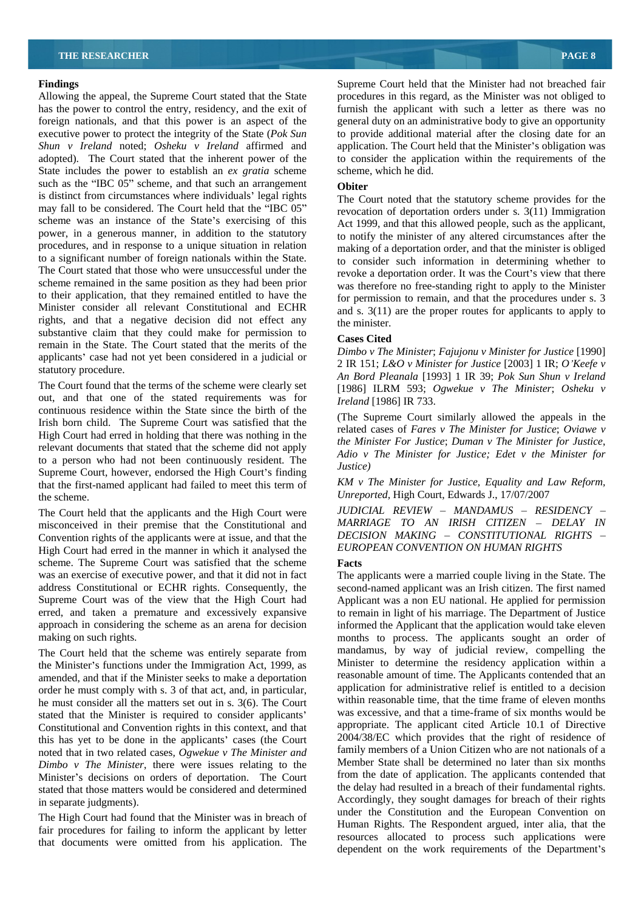Allowing the appeal, the Supreme Court stated that the State has the power to control the entry, residency, and the exit of furnish the applicant with such a letter as there was no foreign nationals, and that this power is an aspect of the general duty on an administrative body to give an opportunity executive power to protect the integrity of the State (*Pok Sun* to provide additional material after the closing date for an *Shun v Ireland* noted; *Osheku v Ireland* affirmed and application. The Court held that the Minister's obligation was adopted). The Court stated that the inherent power of the State includes the power to establish an *ex gratia* scheme such as the "IBC  $0\overline{5}$ " scheme, and that such an arrangement<br>is distinct from circumstances where individuals' legal rights  $\overline{C}$ is distinct from circumstances where individuals' legal rights The Court noted that the statutory scheme provides for the may fall to be considered. The Court held that the "IBC  $05$ " revocation of deportation orders under s. 3(11) Immigration scheme was an instance of the State's exercising of this power, in a generous manner, in addition to the statutory procedures, and in response to a unique situation in relation to a significant number of foreign nationals within the State. to consider such information in determining whether to The Court stated that those who were unsuccessful under the revoke a deportation order. It was the Court's view that there scheme remained in the same position as they had been prior was therefore no free-standing right to apply to the Minister to their application, that they remained entitled to have the Minister consider all relevant Constitutional and ECHR rights, and that a negative decision did not effect any the minister. substantive claim that they could make for permission to Cases Cited remain in the State. The Court stated that the merits of the applicants' case had not yet been considered in a judicial or

The Court found that the terms of the scheme were clearly set out, and that one of the stated requirements was for continuous residence within the State since the birth of the Irish born child. The Supreme Court was satisfied that the High Court had erred in holding that there was nothing in the relevant documents that stated that the scheme did not apply to a person who had not been continuously resident. The  $\frac{A}{u}$   $\frac{A}{u}$ Supreme Court, however, endorsed the High Court's finding that the first-named applicant had failed to meet this term of the scheme. *Unreported,* High Court, Edwards J., 17/07/2007

The Court held that the applicants and the High Court were misconceived in their premise that the Constitutional and Convention rights of the applicants were at issue, and that the High Court had erred in the manner in which it analysed the scheme. The Supreme Court was satisfied that the scheme Facts was an exercise of executive power, and that it did not in fact

The Court held that the scheme was entirely separate from the Minister's functions under the Immigration Act, 1999, as amended, and that if the Minister seeks to make a deportation order he must comply with s. 3 of that act, and, in particular, he must consider all the matters set out in s. 3(6). The Court stated that the Minister is required to consider applicants Constitutional and Convention rights in this context, and that this has yet to be done in the applicants' cases (the Court noted that in two related cases*, Ogwekue v The Minister and Dimbo v The Minister*, there were issues relating to the Minister's decisions on orders of deportation. The Court stated that those matters would be considered and determined

The High Court had found that the Minister was in breach of fair procedures for failing to inform the applicant by letter that documents were omitted from his application. The

**Findings Example 2 Findings Supreme Court held that the Minister had not breached fair** procedures in this regard, as the Minister was not obliged to to consider the application within the requirements of the scheme, which he did.

### **Obiter**

Act 1999, and that this allowed people, such as the applicant, to notify the minister of any altered circumstances after the making of a deportation order, and that the minister is obliged for permission to remain, and that the procedures under s. 3 and s. 3(11) are the proper routes for applicants to apply to the minister.

### **Cases Cited**

statutory procedure. *An Bord Pleanala* [1993] 1 IR 39; *Pok Sun Shun v Ireland Dimbo v The Minister*; *Fajujonu v Minister for Justice* [1990] 2 IR 151; *L&O v Minister for Justice* [2003] 1 IR; *O Keefe v* [1986] ILRM 593; *Ogwekue v The Minister*; *Osheku v Ireland* [1986] IR 733.

> (The Supreme Court similarly allowed the appeals in the related cases of *Fares v The Minister for Justice*; *Oviawe v the Minister For Justice*; *Duman v The Minister for Justice*, *Adio v The Minister for Justice; Edet v the Minister for Justice)*

*KM v The Minister for Justice, Equality and Law Reform,*

*JUDICIAL REVIEW MANDAMUS RESIDENCY MARRIAGE TO AN IRISH CITIZEN DELAY IN DECISION MAKING CONSTITUTIONAL RIGHTS EUROPEAN CONVENTION ON HUMAN RIGHTS* 

### **Facts**

address Constitutional or ECHR rights. Consequently, the second-named applicant was an Irish citizen. The first named Supreme Court was of the view that the High Court had Applicant was a non EU national. He applied for permission erred, and taken a premature and excessively expansive to remain in light of his marriage. The Department of Justice approach in considering the scheme as an arena for decision informed the Applicant that the application would take eleven making on such rights. The applicants sought and order of months to process. The applicants sought and order of in separate judgments). Accordingly, they sought damages for breach of their rights The applicants were a married couple living in the State. The mandamus, by way of judicial review, compelling the Minister to determine the residency application within a reasonable amount of time. The Applicants contended that an application for administrative relief is entitled to a decision within reasonable time, that the time frame of eleven months was excessive, and that a time-frame of six months would be appropriate. The applicant cited Article 10.1 of Directive 2004/38/EC which provides that the right of residence of family members of a Union Citizen who are not nationals of a Member State shall be determined no later than six months from the date of application. The applicants contended that the delay had resulted in a breach of their fundamental rights. under the Constitution and the European Convention on Human Rights. The Respondent argued, inter alia, that the resources allocated to process such applications were dependent on the work requirements of the Department's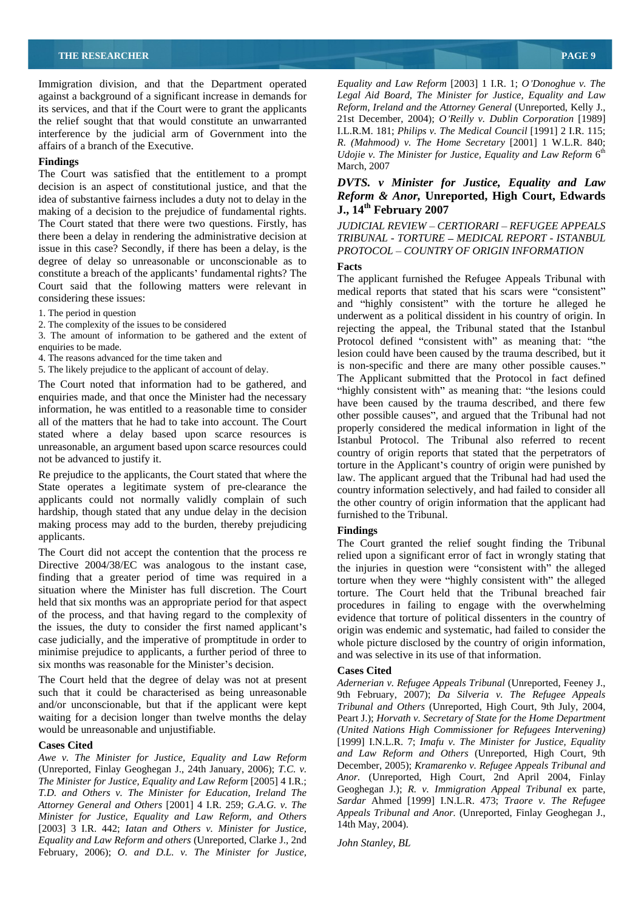Immigration division, and that the Department operated against a background of a significant increase in demands for its services, and that if the Court were to grant the applicants the relief sought that that would constitute an unwarranted interference by the judicial arm of Government into the

**Finalngs** March, 2007<br>The Court was satisfied that the entitlement to a prompt decision is an aspect of constitutional justice, and that the idea of substantive fairness includes a duty not to delay in the *Reform & Anor*, Unre making of a decision to the prejudice of fundamental rights. **J., 14<sup>th</sup> February 2007** making of a decision to the prejudice of fundamental rights. The Court stated that there were two questions. Firstly, has *JUDICIAL REVIEW - CERTIORARI - REFUGEE APPEALS* there been a delay in rendering the administrative decision at issue in this case? Secondly, if there has been a delay, is the degree of delay so unreasonable or unconscionable as to constitute a breach of the applicants' fundamental rights? The Court said that the following matters were relevant in

- 
- 

3. The amount of information to be gathered and the extent of

- 4. The reasons advanced for the time taken and
- 5. The likely prejudice to the applicant of account of delay.

The Court noted that information had to be gathered, and enquiries made, and that once the Minister had the necessary information, he was entitled to a reasonable time to consider all of the matters that he had to take into account. The Court stated where a delay based upon scarce resources is unreasonable, an argument based upon scarce resources could

Re prejudice to the applicants, the Court stated that where the State operates a legitimate system of pre-clearance the applicants could not normally validly complain of such hardship, though stated that any undue delay in the decision making process may add to the burden, thereby prejudicing Findings applicants.<br>The Court granted the relief sought finding the Tribunal

situation where the Minister has full discretion. The Court held that six months was an appropriate period for that aspect of the process, and that having regard to the complexity of the issues, the duty to consider the first named applicant's case judicially, and the imperative of promptitude in order to minimise prejudice to applicants, a further period of three to six months was reasonable for the Minister's decision.<br>The Court held that the degree of delay was not at present *Adernerian v. Refugee Appeals Tribunal* (Unreported. Feeney J.

such that it could be characterised as being unreasonable and/or unconscionable, but that if the applicant were kept

*Awe v. The Minister for Justice, Equality and Law Reform* (Unreported, Finlay Geoghegan J., 24th January, 2006); *T.C. v. The Minister for Justice, Equality and Law Reform* [2005] 4 I.R.; *T.D. and Others v. The Minister for Education, Ireland The Attorney General and Others* [2001] 4 I.R. 259; *G.A.G. v. The Minister for Justice, Equality and Law Reform, and Others* [2003] 3 I.R. 442; *Iatan and Others v. Minister for Justice, Equality and Law Reform and others* (Unreported, Clarke J., 2nd February, 2006); *O. and D.L. v. The Minister for Justice,*

affairs of a branch of the Executive. *R. (Mahmood) v. The Home Secretary* [2001] 1 W.L.R.840; **Findings** and the contract of the contract of the contract of the contract of the contract of the contract of the contract of the contract of the contract of the contract of the contract of the contract of the contract of *Equality and Law Reform* [2003] 1 I.R. 1; *O Donoghue v. The Legal Aid Board, The Minister for Justice, Equality and Law Reform, Ireland and the Attorney General* (Unreported, Kelly J., 21st December, 2004); *O Reilly v. Dublin Corporation* [1989] I.L.R.M. 181; *Philips v. The Medical Council* [1991] 2 I.R. 115; *Udojie v. The Minister for Justice, Equality and Law Reform* 6 the contract of the contract of the contract of the contract of the contract of the contract of the contract of the contract of the contract of the contract of the contract of the contract of the contract of the contract o March, 2007

# *DVTS. v Minister for Justice, Equality and Law Reform & Anor,* **Unreported, High Court, Edwards J., 14th February 2007**

*TRIBUNAL - TORTURE MEDICAL REPORT - ISTANBUL PROTOCOL COUNTRY OF ORIGIN INFORMATION*

considering these issues:<br>
and "highly consistent" with the torture he alleged he 1. The period in question underwent as a political dissident in his country of origin. In 2. The complexity of the issues to be considered rejecting the appeal, the Tribunal stated that the Istanbul enquiries to be made.<br>
A The reasons advanced for the time taken and<br>
lesion could have been caused by the trauma described, but it not be advanced to justify it.<br>
torture in the Applicant's country of origin were punished by **Facts** The applicant furnished the Refugee Appeals Tribunal with medical reports that stated that his scars were "consistent" Protocol defined "consistent with" as meaning that: "the is non-specific and there are many other possible causes. The Applicant submitted that the Protocol in fact defined "highly consistent with" as meaning that: "the lesions could have been caused by the trauma described, and there few other possible causes", and argued that the Tribunal had not properly considered the medical information in light of the Istanbul Protocol. The Tribunal also referred to recent country of origin reports that stated that the perpetrators of law. The applicant argued that the Tribunal had had used the country information selectively, and had failed to consider all the other country of origin information that the applicant had furnished to the Tribunal.

### **Findings**

The Court did not accept the contention that the process reestigated upon a significant error of fact in wrongly stating that Directive 2004/38/EC was analogous to the instant case, the injuries in question were "consistent with" the alleged finding that a greater period of time was required in a torture when they were "highly consistent with" th the injuries in question were "consistent with" the alleged torture when they were "highly consistent with" the alleged torture. The Court held that the Tribunal breached fair procedures in failing to engage with the overwhelming evidence that torture of political dissenters in the country of origin was endemic and systematic, had failed to consider the whole picture disclosed by the country of origin information, and was selective in its use of that information.

### **Cases Cited**

and/or unconscionable, but that if the applicant were kept *Tribunal and Others* (Unreported, High Court, 9th July, 2004, waiting for a decision longer than twelve months the delay Peart J.); *Horvath v. Secretary of State for the Home Department* would be unreasonable and unjustifiable. *(United Nations High Commissioner for Refugees Intervening)* **Cases Cited** [1999] I.N.L.R. 7; *Imafu v. The Minister for Justice, Equality Adernerian v. Refugee Appeals Tribunal* (Unreported, Feeney J., 9th February, 2007); *Da Silveria v. The Refugee Appeals and Law Reform and Others* (Unreported, High Court, 9th December, 2005); *Kramarenko v. Refugee Appeals Tribunal and Anor.* (Unreported, High Court, 2nd April 2004, Finlay Geoghegan J.); *R. v. Immigration Appeal Tribunal* ex parte, *Sardar* Ahmed [1999] I.N.L.R. 473; *Traore v. The Refugee Appeals Tribunal and Anor.* (Unreported, Finlay Geoghegan J., 14th May, 2004).

*John Stanley, BL*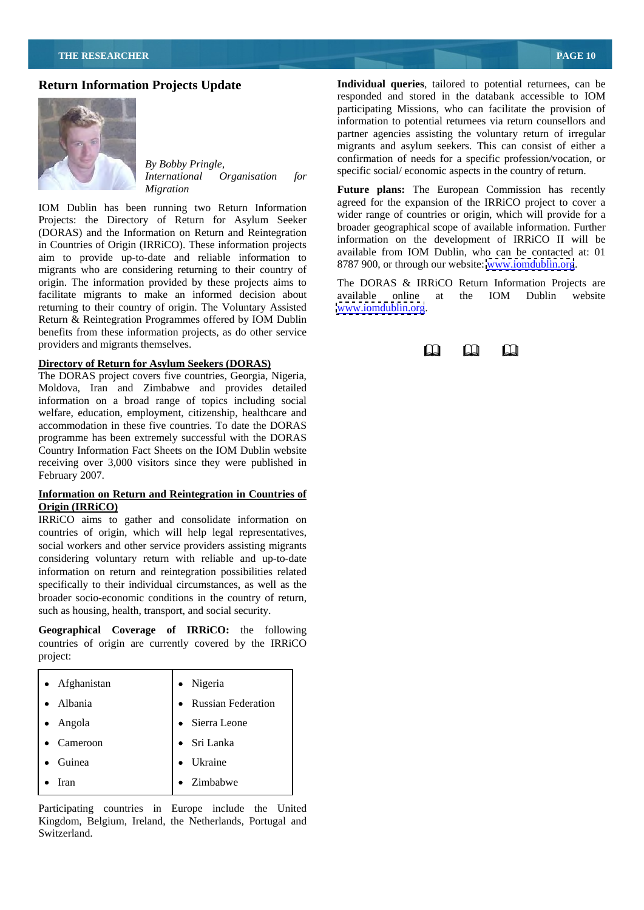# **Return Information Projects Update**



*International Organisation for*

IOM Dublin has been running two Return Information Projects: the Directory of Return for Asylum Seeker (DORAS) and the Information on Return and Reintegration in Countries of Origin (IRRiCO). These information projects aim to provide up-to-date and reliable information to migrants who are considering returning to their country of origin. The information provided by these projects aims to The DORAS & IRRiCO Return Information Projects are facilitate migrants to make an informed decision about available online at the IOM Dublin website returning to their country of origin. The Voluntary Assisted Return & Reintegration Programmes offered by IOM Dublin benefits from these information projects, as do other service providers and migrants themselves.

# **Directory of Return for Asylum Seekers (DORAS)**

The DORAS project covers five countries, Georgia, Nigeria, Moldova, Iran and Zimbabwe and provides detailed information on a broad range of topics including social welfare, education, employment, citizenship, healthcare and accommodation in these five countries. To date the DORAS programme has been extremely successful with the DORAS Country Information Fact Sheets on the IOM Dublin website receiving over 3,000 visitors since they were published in February 2007.

# **Information on Return and Reintegration in Countries of Origin (IRRiCO)**

IRRiCO aims to gather and consolidate information on countries of origin, which will help legal representatives, social workers and other service providers assisting migrants considering voluntary return with reliable and up-to-date information on return and reintegration possibilities related specifically to their individual circumstances, as well as the broader socio-economic conditions in the country of return, such as housing, health, transport, and social security.

**Geographical Coverage of IRRiCO:** the following countries of origin are currently covered by the IRRiCO project: and the contract of the contract of the contract of the contract of the contract of the contract of the contract of the contract of the contract of the contract of the contract of the contract of the contract of t

| • Afghanistan     | · Nigeria            |
|-------------------|----------------------|
| $\bullet$ Albania | • Russian Federation |
| • Angola          | • Sierra Leone       |
| • Cameroon        | • Sri Lanka          |
| • Guinea          | • Ukraine            |
| $\bullet$ Iran    | • Zimbabwe           |

Participating countries in Europe include the United Kingdom, Belgium, Ireland, the Netherlands, Portugal and Switzerland. The same state of the state of the state of the state of the state of the state of the state of the state of the state of the state of the state of the state of the state of the state of the state of the state

*By Bobby Pringle,*<br> *International Creatistics Specific social/ economic aspects in the country of return.* **Individual queries**, tailored to potential returnees, can be responded and stored in the databank accessible to IOM participating Missions, who can facilitate the provision of information to potential returnees via return counsellors and partner agencies assisting the voluntary return of irregular migrants and asylum seekers. This can consist of either a confirmation of needs for a specific profession/vocation, or

*Migration* **Future plans:** The European Commission has recently agreed for the expansion of the IRRiCO project to cover a wider range of countries or origin, which will provide for a broader geographical scope of available information. Further information on the development of IRRiCO II will be available from IOM Dublin, who can be contacted at: 01 8787 900, or through our website: [www.iomdublin.org](http://www.iomdublin.org).

> available online at the IOM Dublin website [www.iomdublin.org](http://www.iomdublin.org).

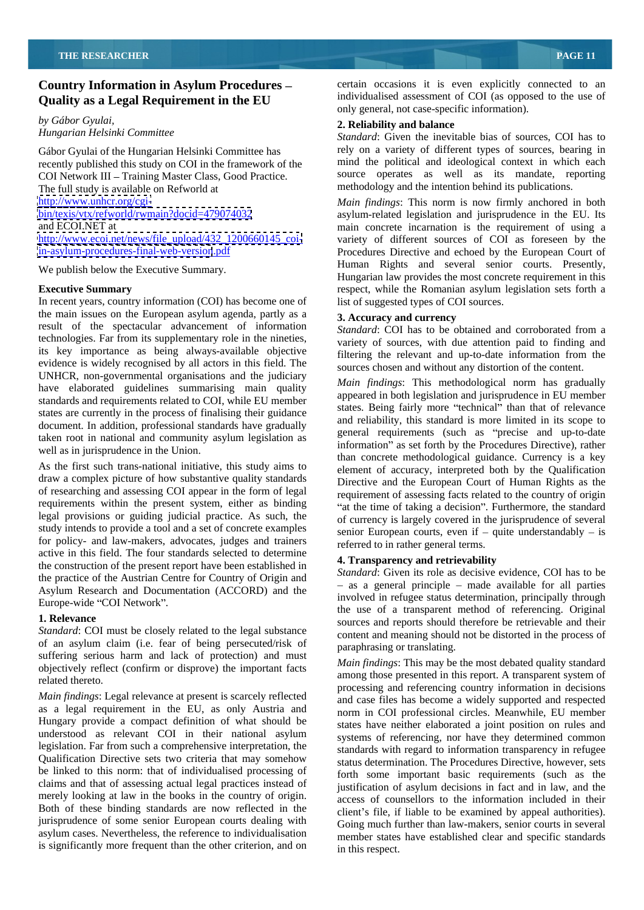# **Country Information in Asylum Procedures Quality as a Legal Requirement in the EU**

*by Gábor Gyulai,* 

Gábor Gyulai of the Hungarian Helsinki Committee has recently published this study on COI in the framework of the COI Network III - Training Master Class, Good Practice. The full study is available on Refworld at [http://www.ecoi.net/news/file\\_upload/432\\_1200660145\\_coi-](http://www.ecoi.net/news/file_upload/432_1200660145_coi-)

We publish below the Executive Summary.

In recent years, country information (COI) has become one of the main issues on the European asylum agenda, partly as a **3. Accuracy and currency** result of the spectacular advancement of information technologies. Far from its supplementary role in the nineties, its key importance as being always-available objective evidence is widely recognised by all actors in this field. The UNHCR, non-governmental organisations and the judiciary have elaborated guidelines summarising main quality standards and requirements related to COI, while EU member states are currently in the process of finalising their guidance document. In addition, professional standards have gradually taken root in national and community asylum legislation as well as in jurisprudence in the Union.

As the first such trans-national initiative, this study aims to draw a complex picture of how substantive quality standards of researching and assessing COI appear in the form of legal requirements within the present system, either as binding legal provisions or guiding judicial practice. As such, the study intends to provide a tool and a set of concrete examples for policy- and law-makers, advocates, judges and trainers active in this field. The four standards selected to determine the construction of the present report have been established in the practice of the Austrian Centre for Country of Origin and Asylum Research and Documentation (ACCORD) and the

*Standard*: COI must be closely related to the legal substance of an asylum claim (i.e. fear of being persecuted/risk of suffering serious harm and lack of protection) and must objectively reflect (confirm or disprove) the important facts

*Main findings*: Legal relevance at present is scarcely reflected as a legal requirement in the EU, as only Austria and Hungary provide a compact definition of what should be understood as relevant COI in their national asylum legislation. Far from such a comprehensive interpretation, the Qualification Directive sets two criteria that may somehow be linked to this norm: that of individualised processing of claims and that of assessing actual legal practices instead of merely looking at law in the books in the country of origin. Both of these binding standards are now reflected in the jurisprudence of some senior European courts dealing with asylum cases. Nevertheless, the reference to individualisation is significantly more frequent than the other criterion, and on certain occasions it is even explicitly connected to an individualised assessment of COI (as opposed to the use of only general, not case-specific information).

# **2. Reliability and balance**

*Hungarian Helsinki Committee Standard*: Given the inevitable bias of sources, COI has to rely on a variety of different types of sources, bearing in mind the political and ideological context in which each source operates as well as its mandate, reporting methodology and the intention behind its publications.

<http://www.unhcr.org/cgi-> *Main findings*: This norm is now firmly anchored in both <bin/texis/vtx/refworld/rwmain?docid=479074032> asylum-related legislation and jurisprudence in the EU. Its and ECOI.NET at main concrete incarnation is the requirement of using a <in-asylum-procedures-final-web-version>.pdf Procedures Directive and echoed by the European Court of **Executive Summary Executive Summary Executive Summary respect, while the Romanian asylum legislation sets forth a** variety of different sources of COI as foreseen by the Human Rights and several senior courts. Presently, Hungarian law provides the most concrete requirement in this list of suggested types of COI sources.

### **3. Accuracy and currency**

*Standard*: COI has to be obtained and corroborated from a variety of sources, with due attention paid to finding and filtering the relevant and up-to-date information from the sources chosen and without any distortion of the content.

*Main findings*: This methodological norm has gradually appeared in both legislation and jurisprudence in EU member states. Being fairly more "technical" than that of relevance and reliability, this standard is more limited in its scope to general requirements (such as "precise and up-to-date information" as set forth by the Procedures Directive), rather than concrete methodological guidance. Currency is a key element of accuracy, interpreted both by the Qualification Directive and the European Court of Human Rights as the requirement of assessing facts related to the country of origin "at the time of taking a decision". Furthermore, the standard of currency is largely covered in the jurisprudence of several senior European courts, even if  $-$  quite understandably  $-$  is referred to in rather general terms.

# **4. Transparency and retrievability**

Europe-wide "COI Network".<br>the use of a transparent method of referencing. Original **1. Relevance** sources and reports should therefore be retrievable and their *Standard*: Given its role as decisive evidence, COI has to be  $-$  as a general principle  $-$  made available for all parties involved in refugee status determination, principally through content and meaning should not be distorted in the process of paraphrasing or translating.

ered thereto.<br>
among those presented in this report. A transparent system of<br>
among those presented in this report. A transparent system of *Main findings*: This may be the most debated quality standard processing and referencing country information in decisions and case files has become a widely supported and respected norm in COI professional circles. Meanwhile, EU member states have neither elaborated a joint position on rules and systems of referencing, nor have they determined common standards with regard to information transparency in refugee status determination. The Procedures Directive, however, sets forth some important basic requirements (such as the justification of asylum decisions in fact and in law, and the access of counsellors to the information included in their client's file, if liable to be examined by appeal authorities). Going much further than law-makers, senior courts in several member states have established clear and specific standards in this respect.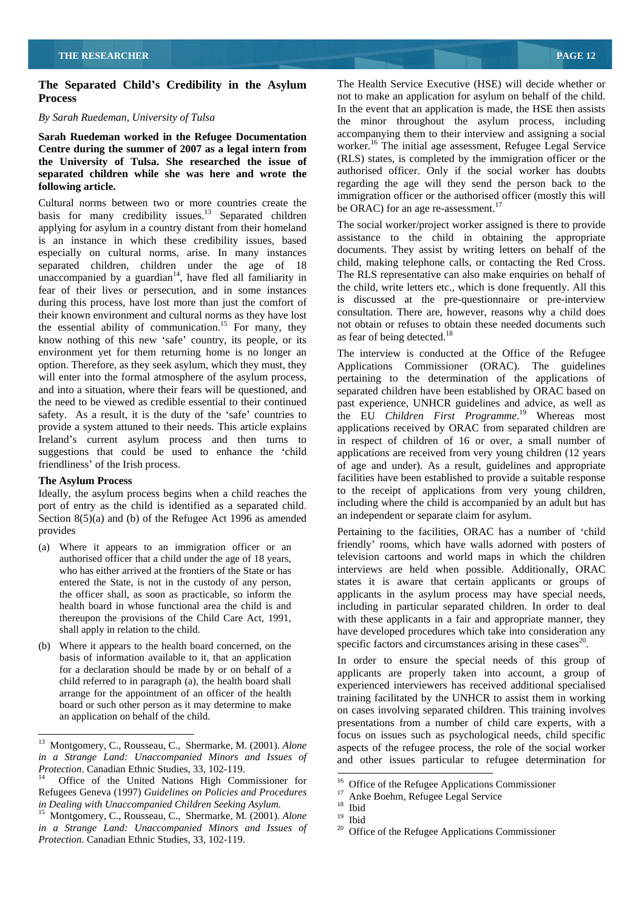# **The Separated Child s Credibility in the Asylum**

**Sarah Ruedeman worked in the Refugee Documentation Centre during the summer of 2007 as a legal intern from the University of Tulsa. She researched the issue of separated children while she was here and wrote the following article.** The regarding the age will they send the person back to the person back to the regarding the age will they send the person back to the

Cultural norms between two or more countries create the basis for many credibility issues.<sup>13</sup> Separated children applying for asylum in a country distant from their homeland is an instance in which these credibility issues, based especially on cultural norms, arise. In many instances separated children, children under the age of 18 unaccompanied by a guardian<sup>14</sup>, have fled all familiarity in fear of their lives or persecution, and in some instances during this process, have lost more than just the comfort of their known environment and cultural norms as they have lost the essential ability of communication.<sup>15</sup> For many, they not obtain or refuses to obtain the essential ability of communication.<sup>15</sup> For many, they not obtain or refuses to obtain the second series of this near the secon know nothing of this new 'safe' country, its people, or its environment yet for them returning home is no longer an The interview is conducted at the Office of the Refugee<br>option. Therefore, as they seek asylum, which they must, they Applications Commissioner (ORAC) The quidelines option. Therefore, as they seek asylum, which they must, they Applications Commissioner (ORAC). The guidelines will enter into the formal atmosphere of the asylum process, pertaining to the determination of the applications of and into a situation, where their fears will be questioned, and separated children have been established by ORAC based on the need to be viewed as credible essential to their continued past experience, UNHCR guidelines and advice, as well as safety. As a result, it is the duty of the 'safe' countries to the EU *Children First Programme*.<sup>19</sup> Whereas most provide a system attuned to their needs. This article explains applications received by ORAC from separated children are Ireland's current asylum process and then turns to in respect of children of 16 or over, a small number of suggestions that could be used to enhance the 'child applications are received from very young children (12 years

Ideally, the asylum process begins when a child reaches the port of entry as the child is identified as a separated child. Including where the child is accompanied by an adult but has<br>Section 8(5)(a) and (b) of the Refugee Act 1996 as amended an independent or separate claim for as

- (a) Where it appears to an immigration officer or an authorised officer that a child under the age of 18 years,
- (b) Where it appears to the health board concerned, on the basis of information available to it, that an application In order to ensure the special needs of this group of child referred to in paragraph (a), the health board shall arrange for the appointment of an officer of the health board or such other person as it may determine to make

**Process** not to make an application for asylum on behalf of the child. *By Sarah Ruedeman, University of Tulsa* the minor throughout the asylum process, including The Health Service Executive (HSE) will decide whether or In the event that an application is made, the HSE then assists accompanying them to their interview and assigning a social worker.<sup>16</sup> The initial age assessment, Refugee Legal Service (RLS) states, is completed by the immigration officer or the authorised officer. Only if the social worker has doubts

<sup>14</sup>, have fled all familiarity in The RLS representative can also make enquiries on behalf of The social worker/project worker assigned is there to provide assistance to the child in obtaining the appropriate documents. They assist by writing letters on behalf of the child, making telephone calls, or contacting the Red Cross. the child, write letters etc., which is done frequently. All this is discussed at the pre-questionnaire or pre-interview consultation. There are, however, reasons why a child does not obtain or refuses to obtain these needed documents such as fear of being detected. $18$ 

immigration officer or the authorised officer (mostly this will

be ORAC) for an age re-assessment.<sup>17</sup>

friendliness' of the Irish process. of age and under). As a result, guidelines and appropriate **The Asylum Process** facilities have been established to provide a suitable response as fear of being detected.<sup>18</sup><br>The interview is conducted at the Office of the Refugee to the receipt of applications from very young children, including where the child is accompanied by an adult but has an independent or separate claim for asylum.

provides Pertaining to the facilities, ORAC has a number of child who has either arrived at the frontiers of the State or has interviews are held when possible. Additionally, ORAC entered the State, is not in the custody of any person, states it is aware that certain applicants or groups the officer shall, as soon as practicable, so inform the applicants in the asylum process may have special needs, health board in whose functional area the child is and including in particular separated children. In order to deal thereupon the provisions of the Child Care Act, 1991, with these applicants in a fair and appropriate manner, they shall apply in relation to the child. have developed procedures which take into consideration any friendly' rooms, which have walls adorned with posters of television cartoons and world maps in which the children interviews are held when possible. Additionally, ORAC states it is aware that certain applicants or groups of specific factors and circumstances arising in these cases $20$ . .

for a declaration should be made by or on behalf of a applicants are properly taken into account, a group of an application on behalf of the child.<br>
presentations from a number of child care experts, with a experienced interviewers has received additional specialised training facilitated by the UNHCR to assist them in working on cases involving separated children. This training involves focus on issues such as psychological needs, child specific aspects of the refugee process, the role of the social worker

<sup>&</sup>lt;sup>13</sup> Montgomery, C., Rousseau, C., Shermarke, M. (2001). *Alone* in a Strange Land: Unaccompanied Minors and Issues of *in a Strange Land: Unaccompanied Minors and Issues of* and other issues particular to refugee determination for *Protection*. Canadian Ethnic Studies, 33, 102-119.<br><sup>14</sup> Office of the United Nations High Commissioner for <sup>16</sup> Office of the Refugee Applications Commissioner

Refugees Geneva (1997) *Guidelines on Policies and Procedures*

*Dealing with Unaccompanied Children Seeking Asylum.* <sup>18</sup> Ibid Montgomery, C., Rousseau, C., Shermarke, M. (2001). *Alone* <sup>19</sup> Ibid *in a Strange Land: Unaccompanied Minors and Issues of Protection.* Canadian Ethnic Studies, 33, 102-119.

<sup>&</sup>lt;sup>16</sup> Office of the Refugee Applications Commissioner  $\frac{17}{17}$  Apks Boshm, Befugee Legal Service

 $\frac{17}{18}$  Anke Boehm, Refugee Legal Service  $\frac{18}{18}$  Ibid

<sup>19</sup> Ibid

<sup>&</sup>lt;sup>20</sup> Office of the Refugee Applications Commissioner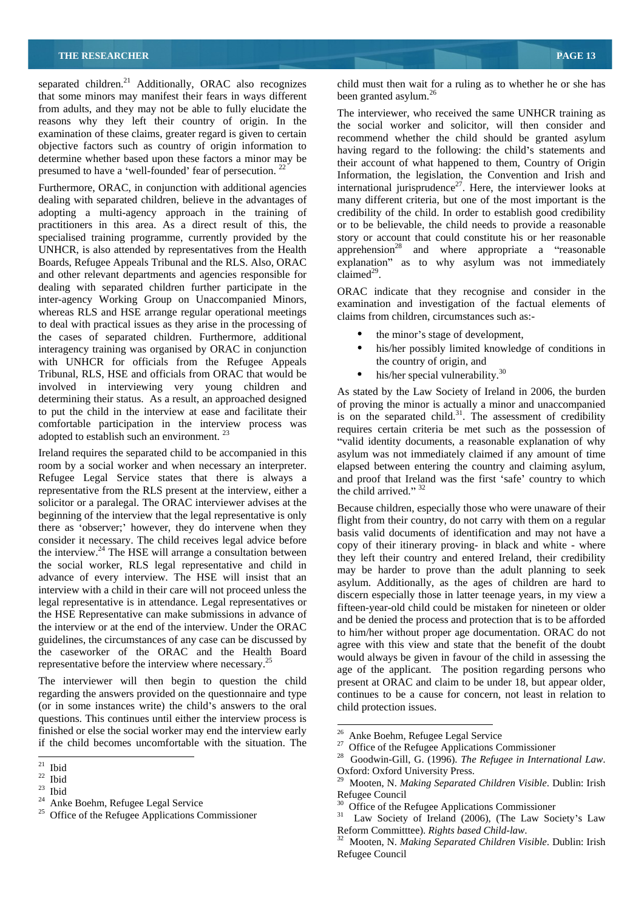separated children.<sup>21</sup> Additionally, ORAC also recognizes child must then wait for that some minors may manifest their fears in ways different been granted asylum.<sup>26</sup> that some minors may manifest their fears in ways different from adults, and they may not be able to fully elucidate the reasons why they left their country of origin. In the examination of these claims, greater regard is given to certain objective factors such as country of origin information to determine whether based upon these factors a minor may be presumed to have a 'well-founded' fear of persecution.<sup>22</sup>

dealing with separated children, believe in the advantages of many different criteria, but one of the most important is the adopting a multi-agency approach in the training of practitioners in this area. As a direct result of this, the specialised training programme, currently provided by the UNHCR, is also attended by representatives from the Health UNHCR, is also attended by representatives from the Health  $\qquad$  apprehension<sup>28</sup> and where appropriate a "reasonable" Boards, Refugee Appeals Tribunal and the RLS. Also, ORAC explanation" as to why asylum was not immediately and other relevant departments and agencies responsible for claimed<sup>29</sup>. dealing with separated children further participate in the ORAC indicate that they recognise and consider in the inter-agency Working Group on Unaccompanied Minors, whereas RLS and HSE arrange regular operational meetings to deal with practical issues as they arise in the processing of the cases of separated children. Furthermore, additional interagency training was organised by ORAC in conjunction<br>with UNHCR for officials from the Refugee Appeals<br>the country of origin, and with UNHCR for officials from the Refugee Appeals Tribunal, RLS, HSE and officials from ORAC that would be involved in interviewing very young children and determining their status. As a result, an approached designed to put the child in the interview at ease and facilitate their comfortable participation in the interview process was adopted to establish such an environment.<sup>23</sup>

room by a social worker and when necessary an interpreter. elapsed between entering the country and claiming asylum, Refugee Legal Service states that there is always a and proof that Ireland was the first 'safe' country to which representative from the RLS present at the interview, either a the child arrived." 32 solicitor or a paralegal. The ORAC interviewer advises at the beginning of the interview that the legal representative is only there as 'observer;' however, they do intervene when they consider it necessary. The child receives legal advice before the interview. $24$  The HSE will arrange a consultation between the social worker, RLS legal representative and child in advance of every interview. The HSE will insist that an interview with a child in their care will not proceed unless the legal representative is in attendance. Legal representatives or the HSE Representative can make submissions in advance of the interview or at the end of the interview. Under the ORAC guidelines, the circumstances of any case can be discussed by the caseworker of the ORAC and the Health Board representative before the interview where necessary.<sup>25</sup>

The interviewer will then begin to question the child regarding the answers provided on the questionnaire and type (or in some instances write) the child's answers to the oral questions. This continues until either the interview process is finished or else the social worker may end the interview early 26 Anke Boehm, Refugee Legal Service if the child becomes uncomfortable with the situation. The  $\frac{27}{27}$  office of the Refugee Applications Commissioner

child must then wait for a ruling as to whether he or she has been granted asylum. $^{26}$ 

presumed to have a 'well-founded' fear of persecution.<sup>22</sup>  $\frac{1}{2}$  Information, the legislation the Convention and Irish and Furthermore, ORAC, in conjunction with additional agencies international jurisprudence<sup>2'</sup>. Here, the interviewer looks at The interviewer, who received the same UNHCR training as the social worker and solicitor, will then consider and recommend whether the child should be granted asylum having regard to the following: the child's statements and their account of what happened to them, Country of Origin Information, the legislation, the Convention and Irish and international jurisprudence $2^7$ . Here, the interviewer looks at credibility of the child. In order to establish good credibility or to be believable, the child needs to provide a reasonable story or account that could constitute his or her reasonable  $\text{ claimed}^{29}$ .

claimed<sup>29</sup>.<br>ORAC indicate that they recognise and consider in the examination and investigation of the factual elements of claims from children, circumstances such as:-

- the minor's stage of development,
- his/her possibly limited knowledge of conditions in the country of origin, and
- his/her special vulnerability.<sup>30</sup>

Ireland requires the separated child to be accompanied in this asylum was not immediately claimed if any amount of time As stated by the Law Society of Ireland in 2006, the burden of proving the minor is actually a minor and unaccompanied is on the separated child. $31$ . The assessment of credibility requires certain criteria be met such as the possession of valid identity documents, a reasonable explanation of why the child arrived."  $32$ 

> Because children, especially those who were unaware of their flight from their country, do not carry with them on a regular basis valid documents of identification and may not have a copy of their itinerary proving- in black and white - where they left their country and entered Ireland, their credibility may be harder to prove than the adult planning to seek asylum. Additionally, as the ages of children are hard to discern especially those in latter teenage years, in my view a fifteen-year-old child could be mistaken for nineteen or older and be denied the process and protection that is to be afforded to him/her without proper age documentation. ORAC do not agree with this view and state that the benefit of the doubt would always be given in favour of the child in assessing the age of the applicant. The position regarding persons who present at ORAC and claim to be under 18, but appear older, continues to be a cause for concern, not least in relation to child protection issues.

 $\frac{28}{21}$  Thid  $\frac{28}{21}$  Thid  $\frac{28}{21}$  Thin  $\frac{28}{21}$  Thin  $\frac{28}{21}$  Thin  $\frac{28}{21}$  Thin  $\frac{28}{21}$  Thin  $\frac{28}{21}$  Thin  $\frac{28}{21}$  Thin  $\frac{28}{21}$  Thin  $\frac{28}{21}$  Thin  $\frac{28}{21}$  Thin  $\frac{28}{21}$  Thin Using the Collins of Community Collins of Community Collins of Community Collins of Community Collins (1996). The Contract of Contract of Contract of Contract of Contract of Contract of Contract of Contract of Contract of <sup>26</sup> Anke Boehm, Refugee Legal Service<br><sup>27</sup> Office of the Refugee Applications Commissioner<br><sup>28</sup> Goodwin-Gill, G. (1996). *The Refugee in International Law*.<br>Oxford: Oxford University Press.<br><sup>29</sup> Mooten, N. *Making Separa* 

<sup>&</sup>lt;sup>22</sup> Ibid<br><sup>23</sup> Ibid<br><sup>23</sup> Ibid<br><sup>23</sup> Ibid<br>2<sup>3</sup> Mooten, N. *Making Separated Children Visible*. Dublin: Irish  $\frac{23}{11100001}$ , The Prince Change Change Contains Following Separated Change Change Colombia 1151 Ibid Refuse Council Refuse Council 24 Anke Boehm, Refugee Legal Service<br>
<sup>24</sup> Anke Boehm, Refugee Legal Service<br>
<sup>25</sup> Office of the Refugee Applications Commissioner<br>
<sup>25</sup> Office of the Refugee Applications Commissioner<br>
<sup>25</sup> Law Society of Ireland (2006), Refugee Council<br><sup>30</sup> Office of the Refugee Applications Commissioner<br><sup>31</sup> Law Society of Ireland (2006), (The Law Society's Law

Reform Committtee). *Rights based Child-law*. 32 Mooten, N. *Making Separated Children Visible*. Dublin: Irish

Refugee Council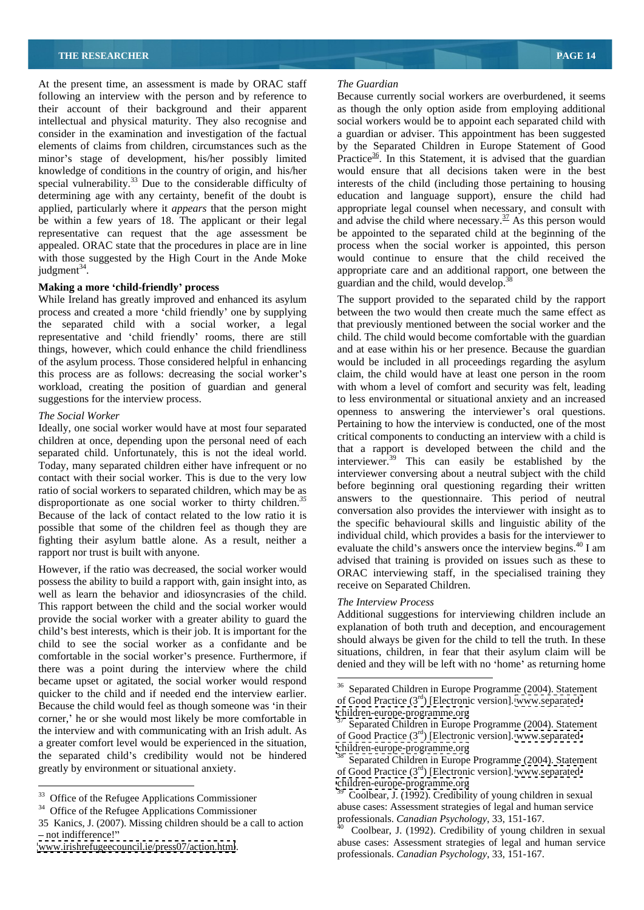At the present time, an assessment is made by ORAC staff The Guardian following an interview with the person and by reference to Because currently social workers are overburdened, it seems their account of their background and their apparent as though the only option aside from employing additional intellectual and physical maturity. They also recognise and social workers would be to appoint each separated child with consider in the examination and investigation of the factual a guardian or adviser. This appointment has been suggested elements of claims from children, circumstances such as the by the Separated Children in Europe Statement of Good minor's stage of development, his/her possibly limited knowledge of conditions in the country of origin, and his/her special vulnerability.<sup>33</sup> Due to the considerable difficulty of determining age with any certainty, benefit of the doubt is determining age with any certainty, benefit of the doubt is education and language support), ensure the child had applied, particularly where it *appears* that the person might be within a few years of 18. The applicant or their legal and advise the child where necessary.<sup>37</sup> As this person would representative can request that the age assessment be be appointed to the separated child at the beginning of the appealed. ORAC state that the procedures in place are in line process when the social worker is appointed, this person with those suggested by the High Court in the Ande Moke judgment<sup>34</sup>. judgment $34$ .

### **Making a more child-friendly process**

process and created a more 'child friendly' one by supplying between the two would then create much the same effect as the separated child with a social worker, a legal that previously mentioned between the social worker and the representative and 'child friendly' rooms, there are still child. The child would become comfortable with the guardian things, however, which could enhance the child friendliness and at ease within his or her presence. Because the guardian of the asylum process. Those considered helpful in enhancing would be included in all proceedings regarding the asylum this process are as follows: decreasing the social worker s claim, the child would have at least one person in the room workload, creating the position of guardian and general suggestions for the interview process. to less environmental or situational anxiety and an increased

Ideally, one social worker would have at most four separated children at once, depending upon the personal need of each separated child. Unfortunately, this is not the ideal world. Today, many separated children either have infrequent or no contact with their social worker. This is due to the very low ratio of social workers to separated children, which may be as disproportionate as one social worker to thirty children.*<sup>35</sup>* Because of the lack of contact related to the low ratio it is possible that some of the children feel as though they are fighting their asylum battle alone. As a result, neither a

However, if the ratio was decreased, the social worker would possess the ability to build a rapport with, gain insight into, as well as learn the behavior and idiosyncrasies of the child.<br>This represent between the child and the social worker would. The Interview Process This rapport between the child and the social worker would provide the social worker with a greater ability to guard the child's best interests, which is their job. It is important for the child to see the social worker as a confidante and be comfortable in the social worker's presence. Furthermore, if there was a point during the interview where the child became upset or agitated, the social worker would respond quicker to the child and if needed end the interview earlier. Because the child would feel as though someone was in their corner,' he or she would most likely be more comfortable in the interview and with communicating with an Irish adult. As a greater comfort level would be experienced in the situation, the separated child's credibility would not be hindered greatly by environment or situational anxiety.

### *The Guardian*

Practice<sup>36</sup>. In this Statement, it is advised that the guardian would ensure that all decisions taken were in the best interests of the child (including those pertaining to housing appropriate legal counsel when necessary, and consult with would continue to ensure that the child received the guardian and the child, would develop.<sup>3</sup>

While Ireland has greatly improved and enhanced its asylum The support provided to the separated child by the rapport *The Social Worker* **operations** openness to answering the interviewer's oral questions. rapport nor trust is built with anyone.<br>
evaluate the child's answers once the interview begins.<sup>40</sup> I am<br>
evaluate the child's answers once the interview begins.<sup>40</sup> I am with whom a level of comfort and security was felt, leading Pertaining to how the interview is conducted, one of the most critical components to conducting an interview with a child is that a rapport is developed between the child and the interviewer.39 This can easily be established by the interviewer conversing about a neutral subject with the child before beginning oral questioning regarding their written answers to the questionnaire. This period of neutral conversation also provides the interviewer with insight as to the specific behavioural skills and linguistic ability of the individual child, which provides a basis for the interviewer to advised that training is provided on issues such as these to ORAC interviewing staff, in the specialised training they receive on Separated Children.

### *The Interview Process*

Additional suggestions for interviewing children include an explanation of both truth and deception, and encouragement should always be given for the child to tell the truth. In these situations, children, in fear that their asylum claim will be denied and they will be left with no 'home' as returning home

<sup>&</sup>lt;sup>33</sup> Office of the Refugee Applications Commissioner

 $34$  Office of the Refugee Applications Commissioner<br>35 Kanics, J. (2007). Missing children should be a call to action <sup>35</sup> Kanies, *S.* (2007). Missing children should be a can to action not not indifference!"<br>- not indifference!"

[www.irishrefugeecouncil.ie/press07/action.html](http://www.irishrefugeecouncil.ie/press07/action.html).

 <sup>36</sup> Separated Children in Europe Programme (2004). Statement of Good Practice (3<sup>rd</sup>) [Electronic version]. [www.separated](http://www.separated-) <children-europe-programme.org>

Separated Children in Europe Programme (2004). Statement of Good Practice  $(3<sup>rd</sup>)$  [Electronic version]. [www.separated](http://www.separated-) <children-europe-programme.org>

greatly by environment or situational anxiety.<br>
of Good Practice (3<sup>rd</sup>) [Electronic version]. [www.separated-](http://www.separated-) Separated Children in Europe Programme (2004). Statement <children-europe-programme.org>

Coolbear, J. (1992). Credibility of young children in sexual abuse cases: Assessment strategies of legal and human service professionals. *Canadian Psychology*, 33, 151-167.

abuse cases: Assessment strategies of legal and human service professionals. *Canadian Psychology*, 33, 151-167.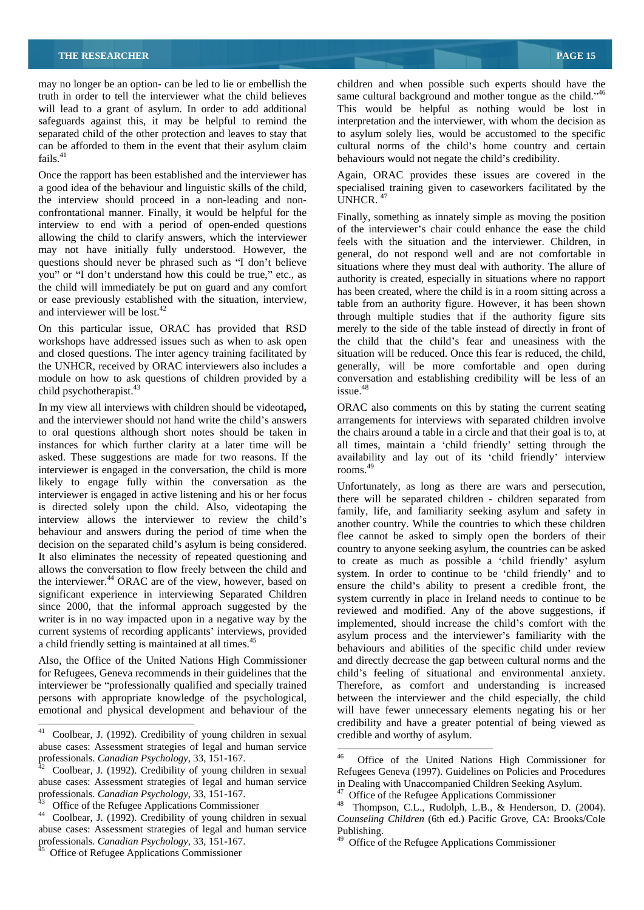fails. $41$  behaviours would not negate the child's credibility.

Once the rapport has been established and the interviewer has Again, ORAC provides these issues are covered in the a good idea of the behaviour and linguistic skills of the child, specialised training given to caseworkers facilitated by the the interview should proceed in a non-leading and non-<br>UNHCR.<sup>47</sup> confrontational manner. Finally, it would be helpful for the interview to end with a period of open-ended questions allowing the child to clarify answers, which the interviewer may not have initially fully understood. However, the questions should never be phrased such as "I don't believe you" or "I don't understand how this could be true," etc., as the child will immediately be put on guard and any comfort

On this particular issue, ORAC has provided that RSD workshops have addressed issues such as when to ask open and closed questions. The inter agency training facilitated by situation will be reduced. Once this fear is reduced, the child, the UNHCR, received by ORAC interviewers also includes a child psychotherapist.<sup>43</sup> issue.<sup>48</sup>

In my view all interviews with children should be videotaped**,** ORAC also comments on this by stating the current seating and the interviewer should not hand write the child's answers arrangements for interviews with separated children involve to oral questions although short notes should be taken in the chairs around a table in a circle and that their goal is to, at instances for which further clarity at a later time will be all times, maintain a child friendly setting through the asked. These suggestions are made for two reasons. If the availability and lay out of its 'child friendly' interview interviewer is engaged in the conversation, the child is more rooms.<sup>49</sup> likely to engage fully within the conversation as the interviewer is engaged in active listening and his or her focus is directed solely upon the child. Also, videotaping the interview allows the interviewer to review the child's behaviour and answers during the period of time when the decision on the separated child's asylum is being considered. It also eliminates the necessity of repeated questioning and allows the conversation to flow freely between the child and the interviewer.<sup>44</sup> ORAC are of the view, however, based on significant experience in interviewing Separated Children since 2000, that the informal approach suggested by the writer is in no way impacted upon in a negative way by the current systems of recording applicants' interviews, provided a child friendly setting is maintained at all times.<sup>4</sup>

may no longer be an option- can be led to lie or embellish the children and when possible such experts should have the truth in order to tell the interviewer what the child believes same cultural background and mother tongue as the child."<sup>46</sup> will lead to a grant of asylum. In order to add additional This would be helpful as nothing would be lost in safeguards against this, it may be helpful to remind the interpretation and the interviewer, with whom the decision as separated child of the other protection and leaves to stay that to asylum solely lies, would be accustomed to the specific can be afforded to them in the event that their asylum claim cultural norms of the child's home country and certain

UNHCR.  $47$ 

or ease previously established with the situation, interview,<br>and interviewer will be lost.<sup>42</sup> table from an authority figure. However, it has been shown<br>through multiple studies that if the authority figure site module on how to ask questions of children provided by a conversation and establishing credibility will be less of an Finally, something as innately simple as moving the position of the interviewer's chair could enhance the ease the child feels with the situation and the interviewer. Children, in general, do not respond well and are not comfortable in situations where they must deal with authority. The allure of authority is created, especially in situations where no rapport has been created, where the child is in a room sitting across a through multiple studies that if the authority figure sits merely to the side of the table instead of directly in front of the child that the child's fear and uneasiness with the situation will be reduced. Once this fear is reduced, the child,generally, will be more comfortable and open during issue.48

rooms.<sup>49</sup>

Also, the Office of the United Nations High Commissioner and directly decrease the gap between cultural norms and the for Refugees, Geneva recommends in their guidelines that the child's feeling of situational and environmental anxiety. interviewer be professionally qualified and specially trained Therefore, as comfort and understanding is increased persons with appropriate knowledge of the psychological, between the interviewer and the child especially, the child emotional and physical development and behaviour of the will have fewer unnecessary elements negating his or her Unfortunately, as long as there are wars and persecution, there will be separated children - children separated from family, life, and familiarity seeking asylum and safety in another country. While the countries to which these children flee cannot be asked to simply open the borders of their country to anyone seeking asylum, the countries can be asked to create as much as possible a 'child friendly' asylum system. In order to continue to be 'child friendly' and to ensure the child's ability to present a credible front, the system currently in place in Ireland needs to continue to be reviewed and modified. Any of the above suggestions, if implemented, should increase the child's comfort with the asylum process and the interviewer's familiarity with the behaviours and abilities of the specific child under review credibility and have a greater potential of being viewed as credible and worthy of asylum.

 <sup>41</sup> Coolbear, J. (1992). Credibility of young children in sexual abuse cases: Assessment strategies of legal and human service

abuse cases: Assessment strategies of legal and human service in Dealing with Unaccompanied Children Seeking Asylum.<br>professionals. Canadian Psychology, 33, 151-167. The of the Refugee Applications Commissioner

abuse cases: Assessment strategies of legal and human service Publishing. professionals. *Canadian Psychology*, 33, 151-167.<br><sup>45</sup> Office of Refugee Applications Commissioner

professionals. *Canadian Psychology*, 33, 151-167.<br><sup>42</sup> Coolbear, J. (1992). Credibility of young children in sexual<br>**12** Coolbear, J. (1992). Credibility of young children in sexual<br>Refugees Geneva (1997). Guidelines on P 46 Office of the United Nations High Commissioner for Refugees Geneva (1997). Guidelines on Policies and Procedures<br>in Dealing with Unaccompanied Children Seeking Asylum.<br><sup>47</sup> Office of the Refugee Applications Commissioner<br><sup>48</sup> Thompson, C.L., Rudolph, L.B., & Henderson, D.

professionals. *Canadian Psychology*, 33, 151-167. <sup>47</sup> Office of the Refugee Applications Commissioner<br><sup>43</sup> Office of the Refugee Applications Commissioner <sup>48</sup> Thompson, C.L., Rudolph, L.B., & Henderson, D. (2004).<br><sup>44</sup> *Counseling Children* (6th ed.) Pacific Grove, CA: Brooks/Cole

<sup>&</sup>lt;sup>49</sup> Office of the Refugee Applications Commissioner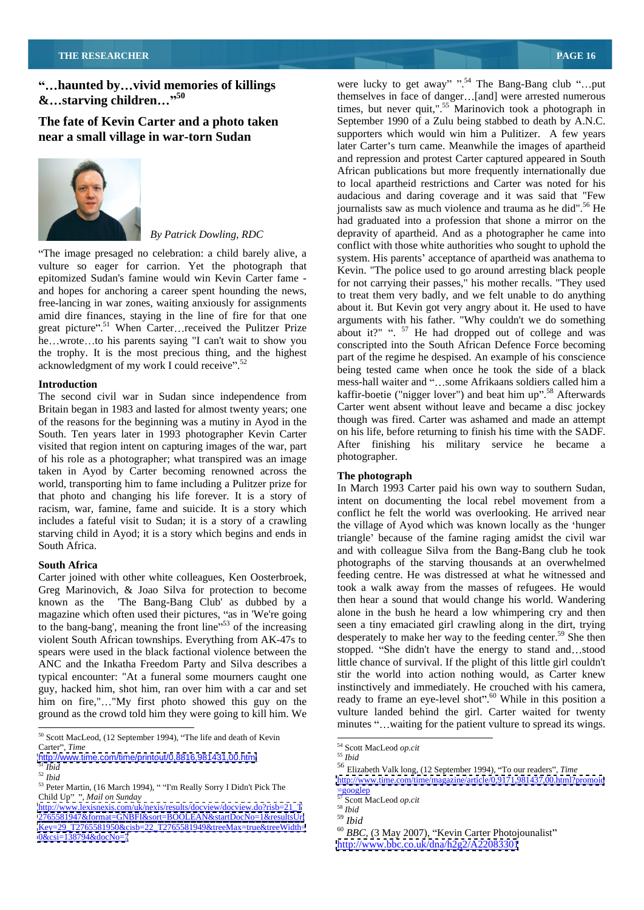**near a small village in war-torn Sudan** 



The image presaged no celebration: a child barely alive, a vulture so eager for carrion. Yet the photograph that epitomized Sudan's famine would win Kevin Carter fame and hopes for anchoring a career spent hounding the news, free-lancing in war zones, waiting anxiously for assignments great picture".<sup>51</sup> When Carter...received the Pulitzer Prize he...wrote...to his parents saying "I can't wait to show you the trophy. It is the most precious thing, and the highest acknowledgment of my work I could receive". $52$ 

The second civil war in Sudan since independence from Britain began in 1983 and lasted for almost twenty years; one of the reasons for the beginning was a mutiny in Ayod in the South. Ten years later in 1993 photographer Kevin Carter visited that region intent on capturing images of the war, part after finiship of his role as a photographer, what transpired was an image photographer. of his role as a photographer; what transpired was an image taken in Ayod by Carter becoming renowned across the world, transporting him to fame including a Pulitzer prize for that photo and changing his life forever. It is a story of racism, war, famine, fame and suicide. It is a story which includes a fateful visit to Sudan; it is a story of a crawling starving child in Ayod; it is a story which begins and ends in

Carter joined with other white colleagues, Ken Oosterbroek, Greg Marinovich, & Joao Silva for protection to become known as the 'The Bang-Bang Club' as dubbed by a magazine which often used their pictures, "as in 'We're going to the bang-bang', meaning the front line" $53$  of the increasing violent South African townships. Everything from AK-47s to spears were used in the black factional violence between the ANC and the Inkatha Freedom Party and Silva describes a typical encounter: "At a funeral some mourners caught one guy, hacked him, shot him, ran over him with a car and set him on fire,"..."My first photo showed this guy on the ground as the crowd told him they were going to kill him. We

<sup>50</sup> Scott MacLeod, (12 September 1994), "The life and death of Kevin<br>Carter". *Time*<br> $\frac{54}{54}$  Scott MacLeod op.cit Carter", *Time* and the contract of the contract of the second of the second of the contract of the contract of the contract of the contract of the contract of the contract of the contract of the contract of the contract o

**haunted by...vivid memories of killings** were lucky to get away" ".<sup>54</sup> The Bang-Bang club "...put **&** starving children...<sup>">50</sup> themselves in face of danger...[and] were arrested numerous that **starving** children..." **50** themselves in face of danger...[and] were arrested numerous **EX...starving children...**"<sup>50</sup><br>
themselves in face of danger...[and] were arrested numerous<br>
times, but never quit,".<sup>55</sup> Marinovich took a photograph in<br>
September 1990 of a Zulu being stabbed to death by A.N.C. *By Patrick Dowling, RDC* depravity of apartheid. And as a photographer he came into amid dire finances, staying in the line of fire for that one arguments with his father. "Why couldn't we do something **Introduction**<br>
mess-hall waiter and "...some Afrikaans soldiers called him a September 1990 of a Zulu being stabbed to death by A.N.C. supporters which would win him a Pulitizer. A few years later Carter's turn came. Meanwhile the images of apartheid and repression and protest Carter captured appeared in South African publications but more frequently internationally due to local apartheid restrictions and Carter was noted for his audacious and daring coverage and it was said that "Few journalists saw as much violence and trauma as he did".<sup>56</sup> He had graduated into a profession that shone a mirror on the conflict with those white authorities who sought to uphold the system. His parents' acceptance of apartheid was anathema to Kevin. "The police used to go around arresting black people for not carrying their passes," his mother recalls. "They used to treat them very badly, and we felt unable to do anything about it. But Kevin got very angry about it. He used to have about it?" ".  $57$  He had dropped out of college and was conscripted into the South African Defence Force becoming part of the regime he despised. An example of his conscience being tested came when once he took the side of a black kaffir-boetie ("nigger lover") and beat him up".<sup>58</sup> Afterwards Carter went absent without leave and became a disc jockey though was fired. Carter was ashamed and made an attempt on his life, before returning to finish his time with the SADF. After finishing his military service he became a photographer. The state of the state of the state of the state of the state of the state of the state of the state of the state of the state of the state of the state of the state of the state of the state of the state of

### **The photograph**

South Africa.<br>
and with colleague Silva from the Bang-Bang club he took **South Africa** photographs of the starving thousands at an overwhelmed In March 1993 Carter paid his own way to southern Sudan, intent on documenting the local rebel movement from a conflict he felt the world was overlooking. He arrived near the village of Ayod which was known locally as the 'hunger triangle' because of the famine raging amidst the civil war feeding centre. He was distressed at what he witnessed and took a walk away from the masses of refugees. He would then hear a sound that would change his world. Wandering alone in the bush he heard a low whimpering cry and then seen a tiny emaciated girl crawling along in the dirt, trying desperately to make her way to the feeding center.<sup>59</sup> She then stopped. "She didn't have the energy to stand and ... stood little chance of survival. If the plight of this little girl couldn't stir the world into action nothing would, as Carter knew instinctively and immediately. He crouched with his camera, ready to frame an eye-level shot".<sup>60</sup> While in this position a vulture landed behind the girl. Carter waited for twenty minutes "...waiting for the patient vulture to spread its wings.

<http://www.bbc.co.uk/dna/h2g2/A22083301>

 $\frac{http://www.time.com/time/printout/0,8816,981431,00.html}{51\text{ Jhid}}$  $\frac{http://www.time.com/time/printout/0,8816,981431,00.html}{51\text{ Jhid}}$  $\frac{http://www.time.com/time/printout/0,8816,981431,00.html}{51\text{ Jhid}}$   $\frac{55\text{ Jbid}}{56\text{ Eliz}}$ 

<sup>&</sup>lt;sup>52</sup> *Potatrical* Peter Martin, (16 March 1994), "Tm Really Sorry I Didn't Pick The  $\frac{http://ww}{57\text{ scott M}}$ <br>
<sup>53</sup> Peter Martin, (16 March 1994), "Tm Really Sorry I Didn't Pick The  $\frac{1200 \text{g}}{57 \text{ scott M}}$ Child Up" ", Mail on Sunday and Sunday and Superior Section Associates of the Superior Section Associates of the Superior Section Association of the Superior Section Association of the Superior Section Association of the S

Child Up" ", Mail on Sunday<br>[http://www.lexisnexis.com/uk/nexis/results/docview/docview.do?risb=21\\_T](http://www.lexisnexis.com/uk/nexis/results/docview/docview.do?risb=21_T) <sup>58</sup> Ibid <2765581947&format=GNBFI&sort=BOOLEAN&startDocNo=1&resultsUrl> [Key=29\\_T2765581950&cisb=22\\_T2765581949&treeMax=true&treeWidth=](Key=29_T2765581950&cisb=22_T2765581949&treeMax=true&treeWidth=)<br>0&csi=138794&docNo=7 Rey=29\_12765581950&csis0=22\_12765581949&treeMax=true&treeWidth=<br><0&csi=138794&docNo=7>

 <sup>54</sup> Scott MacLeod *op.cit* <sup>55</sup> *Ibid*

 $\frac{56}{56}$  Elizabeth Valk long, (12 September 1994), "To our readers", *Time* 

<sup>52</sup> *Ibid* <http://www.time.com/time/magazine/article/0,9171,981437,00.html?promoid>  $=$ googlep

<sup>57</sup> Scott MacLeod *op.cit* <sup>58</sup> *Ibid*

<sup>59</sup> *Ibid*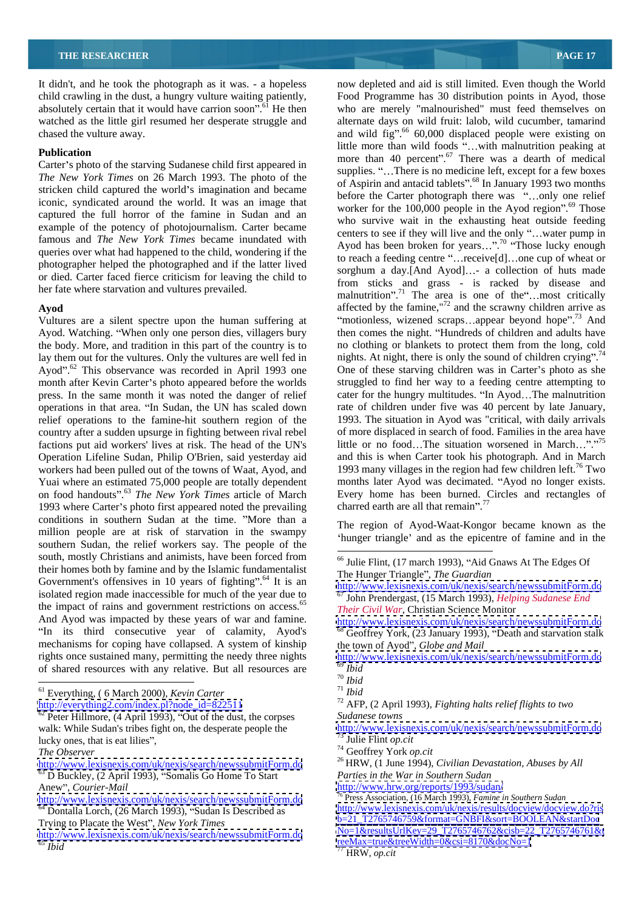It didn't, and he took the photograph as it was. - a hopeless absolutely certain that it would have carrion soon".<sup>61</sup> He then

Carter's photo of the starving Sudanese child first appeared in *The New York Times* on 26 March 1993. The photo of the stricken child captured the world's imagination and became iconic, syndicated around the world. It was an image that captured the full horror of the famine in Sudan and an example of the potency of photojournalism. Carter became queries over what had happened to the child, wondering if the photographer helped the photographed and if the latter lived or died. Carter faced fierce criticism for leaving the child to

Vultures are a silent spectre upon the human suffering at Ayod. Watching. When only one person dies, villagers bury the body. More, and tradition in this part of the country is to no clothing or blankets to protect them from the long, cold lay them out for the vultures. Only the vultures are well fed in nights. At night, there is only the sound of children crying".<sup>74</sup> Ayod". $62$  This observance was recorded in April 1993 one month after Kevin Carter's photo appeared before the worlds press. In the same month it was noted the danger of relief operations in that area. "In Sudan, the UN has scaled down relief operations to the famine-hit southern region of the country after a sudden upsurge in fighting between rival rebel of more displaced in search of food. Families in the area have factions put aid workers' lives at risk. The head of the UN's Operation Lifeline Sudan, Philip O'Brien, said yesterday aid workers had been pulled out of the towns of Waat, Ayod, and 1993 many villages in the region had few children left.<sup>76</sup> Two Yuai where an estimated 75,000 people are totally dependent months later Ayod was decimated. "Ayod no longer exists. on food handouts .63 *The New York Times* article of March 1993 where Carter's photo first appeared noted the prevailing conditions in southern Sudan at the time. "More than a million people are at risk of starvation in the swampy southern Sudan, the relief workers say. The people of the south, mostly Christians and animists, have been forced from their homes both by famine and by the Islamic fundamentalist Government's offensives in 10 years of fighting".<sup>64</sup> It is an isolated region made inaccessible for much of the year due to 67 John Prendergast, (15 March 1993), *Helping Sudanese End*  the impact of rains and government restrictions on access.<sup>6</sup> And Ayod was impacted by these years of war and famine. mechanisms for coping have collapsed. A system of kinship rights once sustained many, permitting the needy three nights <http://www.lexisnexis.com/uk/nexis/search/newssubmitForm.do> of shared resources with any relative. But all resources are  $\frac{69 \text{ } I}_{70}$  Ibid

<sup>61</sup> Everything, ( 6 March 2000), *Kevin Carter* <sup>71</sup> *Ibid*<br>
<u>http://everything2.com/index.pl?node\_id=822511</u> <sup>72</sup> AFP

<http://www.lexisnexis.com/uk/nexis/search/newssubmitForm.do>  $\frac{NQ=1 \alpha_1 \text{e} \cdot \text{R}}{NQ=1 \alpha_2 \text{e} \cdot \text{R}} = \frac{NQ}{12/0.5} = \frac{N(1/0.01 \alpha_1 \text{e} \cdot \text{R})}{12/0.01 \alpha_1 \text{e} \cdot \text{R}} = \frac{N(1/0.01 \alpha_1 \text{e} \cdot \text{R})}{12/0.01 \alpha_1 \text{e} \cdot \text{R$ <sup>65</sup> *Ibid* <reeMax=true&treeWidth=0&csi=8170&docNo=1>

child crawling in the dust, a hungry vulture waiting patiently, Food Programme has 30 distribution points in Ayod, those watched as the little girl resumed her desperate struggle and alternate days on wild fruit: lalob, wild cucumber, tamarind chased the vulture away. and wild fig.<sup>56</sup> 60,000 displaced people were existing on **Publication**<br> **Publication**<br> **Publication**<br> **Publication**<br> **Publication**<br> **Publication**<br> **Publication**<br> **Publication**<br> **Publication**<br> **Publication**<br> **Publication**<br> **Publication**<br> **Publication**<br> **Publication**<br> **Publication** famous and *The New York Times* became inundated with<br>Ayod has been broken for years...".<sup>70</sup> "Those lucky enough her fate where starvation and vultures prevailed.<br>
malnutrition".<sup>71</sup> The area is one of the most critically Ayod **Axes** affected by the famine,<sup>"72</sup> and the scrawny children arrive as now depleted and aid is still limited. Even though the World who are merely "malnourished" must feed themselves on more than 40 percent". $67$  There was a dearth of medical supplies. "...There is no medicine left, except for a few boxes of Aspirin and antacid tablets".<sup>68</sup> In January 1993 two months before the Carter photograph there was "...only one relief worker for the  $100,000$  people in the Ayod region".<sup>69</sup> Those who survive wait in the exhausting heat outside feeding centers to see if they will live and the only "...water pump in to reach a feeding centre "... receive $[d]$ ... one cup of wheat or sorghum a day.[And Ayod]...- a collection of huts made from sticks and grass - is racked by disease and "motionless, wizened scraps...appear beyond hope".<sup>73</sup> And then comes the night. "Hundreds of children and adults have One of these starving children was in Carter's photo as she struggled to find her way to a feeding centre attempting to cater for the hungry multitudes. "In Ayod...The malnutrition rate of children under five was 40 percent by late January, 1993. The situation in Ayod was "critical, with daily arrivals little or no food...The situation worsened in March...".<sup>75</sup> and this is when Carter took his photograph. And in March Every home has been burned. Circles and rectangles of charred earth are all that remain".<sup>77</sup>

> The region of Ayod-Waat-Kongor became known as the 'hunger triangle' and as the epicentre of famine and in the

<http://www.lexisnexis.com/uk/nexis/search/newssubmitForm.do>

*Their Civil War*, Christian Science Monitor

<sup>69</sup> *Ibid*

[http://everything2.com/index.pl?node\\_id=822511](http://everything2.com/index.pl?node_id=822511) <sup>72</sup> AFP, (2 April 1993), *Fighting halts relief flights to two Sudanese towns*

walk: While Sudan's tribes fight on, the desperate people the <http://www.lexisnexis.com/uk/nexis/search/newssubmitForm.do>

<http://www.lexisnexis.com/uk/nexis/search/newssubmitForm.do> <sup>26</sup> HRW, (1 June 1994), *Civilian Devastation, Abuses by All* <sup>73</sup> Julie Flint *op.cit*<br><sup>74</sup> Geoffrey York *op.cit*<br><sup>26</sup> HRW, (1 June 1994), *Civilian Devastation, Abuses by All Q Parties in the War in Southern Sudan*

Anew", *Courier-Mail* **And Structure and Structure in the Courier-Mail in the Structure of the Structure of the Structure of the Structure of the Structure of the Structure of the Structure of the Structure of the Structur** 

Trying to Placate the West", *New York Times*  $\frac{D=21}{27}$  and  $\frac{D=21}{27}$  and  $\frac{D=21}{27}$  and  $\frac{D=21}{27}$  and  $\frac{D=21}{27}$  and  $\frac{D=21}{27}$  and  $\frac{D=21}{27}$  and  $\frac{D=21}{27}$  and  $\frac{D=21}{27}$  and  $\frac{D=21}{27}$ <http://www.hrw.org/reports/1993/sudan/> 76 Press Association, (16 March 1993), *Famine in Southern Sudan* <http://www.lexisnexis.com/uk/nexis/results/docview/docview.do?ris> [b=21\\_T2765746759&format=GNBFI&sort=BOOLEAN&startDoc](b=21_T2765746759&format=GNBFI&sort=BOOLEAN&startDoc) [No=1&resultsUrlKey=29\\_T2765746762&cisb=22\\_T2765746761&t](No=1&resultsUrlKey=29_T2765746762&cisb=22_T2765746761&t)

 $\frac{62}{2}$  Peter Hillmore, (4 April 1993), "Out of the dust, the corpses Sudanese towns lucky ones, that is eat lilies",  $\frac{1}{2}$  Julie Flint *op.cit The Observer The Observer The Observer The Observer The Observer The Observer* 

 $\frac{63}{63}$  D Buckley, (2 April 1993), "Somalis Go Home To Start<br>Anew", Courier-Mail<br>Anew", Courier-Mail<br>Anew", Courier-Mail

<http://www.lexisnexis.com/uk/nexis/search/newssubmitForm.do><br>
<sup>76</sup> Press Association, (16 March 1993), *Famine in Southern Sudan*<br>
<sup>64</sup> Dontalla Lorsh (26 March 1993), <sup>64</sup> Dontalla Lorsh (26 March 1993), *Famine in Souther*  $\frac{64}{64}$  Dontalla Lorch, (26 March 1993), "Sudan Is Described as Trying to Placate the West", *New York Times* 

<sup>&</sup>lt;sup>66</sup> Julie Flint. (17 march 1993), "Aid Gnaws At The Edges Of The Hunger Triangle", *The Guardian* 

In its third consecutive year of calamity, Ayod's  $\frac{68}{68}$  Geoffrey York, (23 January 1993), "Death and starvation stalk <http://www.lexisnexis.com/uk/nexis/search/newssubmitForm.do> the town of Ayod", *Globe and Mail* 

<sup>70</sup> *Ibid*

<sup>71</sup> *Ibid*

HRW, *op.cit*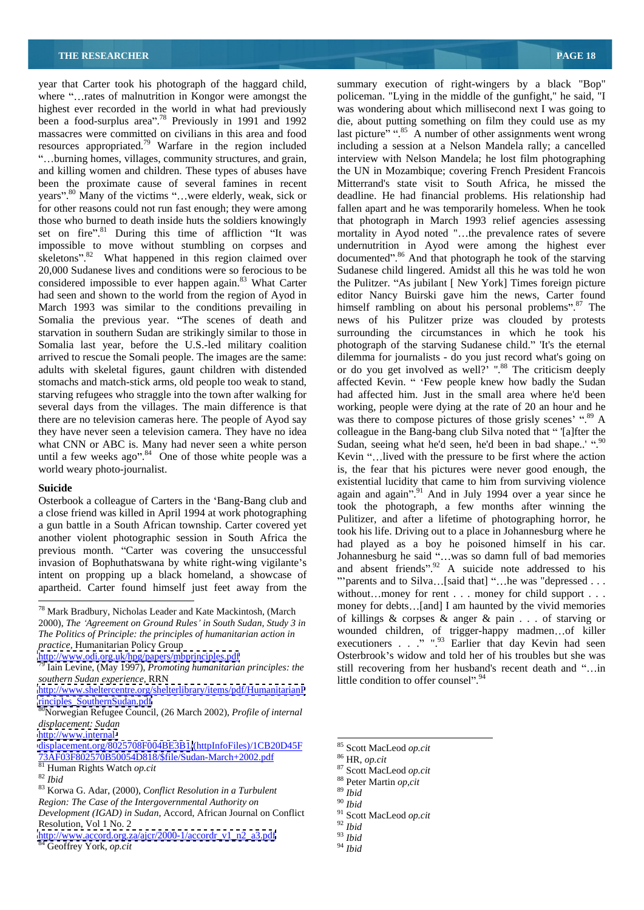where "...rates of malnutrition in Kongor were amongst the policeman. "Lying in the middle of the gunfight," he said, "I highest ever recorded in the world in what had previously was wondering about which millisecond next I was going to been a food-surplus area<sup> $\frac{38}{18}$ </sup> Previously in 1991 and 1992 massacres were committed on civilians in this area and food massacres were committed on civilians in this area and food last picture" ".<sup>85</sup> A number of other assignments went wrong resources appropriated.79 Warfare in the region included and killing women and children. These types of abuses have the UN in Mozambique; covering French President Francois been the proximate cause of several famines in recent Mitterrand's state visit to South Africa, he missed the years".<sup>80</sup> Many of the victims "...were elderly, weak, sick or for other reasons could not run fast enough; they were among for other reasons could not run fast enough; they were among fallen apart and he was temporarily homeless. When he took those who burned to death inside huts the soldiers knowingly that photograph in March 1993 relief agencies assessing set on fire".<sup>81</sup> During this time of affliction "It was impossible to move without stumbling on corpses and impossible to move without stumbling on corpses and undernutrition in Ayod were among the highest ever skeletons".<sup>82</sup> What happened in this region claimed over 20,000 Sudanese lives and conditions were so ferocious to be Sudanese child lingered. Amidst all this he was told he won considered impossible to ever happen again.<sup>83</sup> What Carter the Pulitzer. "As jubilant [New York] Times foreign picture had seen and shown to the world from the region of Ayod in editor Nancy Buirski gave him the news, Carter found March 1993 was similar to the conditions prevailing in himself rambling on about his personal problems".<sup>87</sup> The Somalia the previous year. "The scenes of death and mews of his Pulitzer prize was clouded by protests starvation in southern Sudan are strikingly similar to those in Somalia last year, before the U.S.-led military coalition photograph of the starving Sudanese child." It's the eternal arrived to rescue the Somali people. The images are the same: dilemma for journalists - do you just record what's going on adults with skeletal figures, gaunt children with distended or do you get involved as well?' ".<sup>88</sup> The criticism deeply stomachs and match-stick arms, old people too weak to stand, affected Kevin. " 'Few people knew how badly the Sudan starving refugees who straggle into the town after walking for several days from the villages. The main difference is that there are no television cameras here. The people of Ayod say was there to compose pictures of those grisly scenes' ".<sup>89</sup> A they have never seen a television camera. They have no idea colleague in the Bang-bang club Silva noted that "[a]fter the what CNN or ABC is. Many had never seen a white person until a few weeks ago". $84$  One of those white people was a world weary photo-journalist. is, the fear that his pictures were never good enough, the

Osterbook a colleague of Carters in the 'Bang-Bang club and a close friend was killed in April 1994 at work photographing a gun battle in a South African township. Carter covered yet another violent photographic session in South Africa the previous month. "Carter was covering the unsuccessful intent on propping up a black homeland, a showcase of apartheid. Carter found himself just feet away from the

2000), *The Agreement on Ground Rules in South Sudan, Study 3 in* <http://www.odi.org.uk/hpg/papers/mbprinciples.pdf> 79 Iain Levine, (May 1997), *Promoting humanitarian principles: the* 

<http://www.internal->

<displacement.org/8025708F004BE3B1/>(httpInfoFiles)/1CB20D45F<br>
73AF03F802570B50054D818/\$file/Sudan-March+2002.pdf <sup>86</sup>HR on cit 73AF03F802570B50054D818/\$file/Sudan-March+2002.pdf 81 Human Rights Watch *op.cit* <sup>82</sup> *Ibid*

year that Carter took his photograph of the haggard child, summary execution of right-wingers by a black "Bop" burning homes, villages, community structures, and grain, interview with Nelson Mandela; he lost film photographing **Suicide**<br>
again and again<sup>99</sup> And in July 1994 over a year since he<br>
again and again<sup>99</sup> And in July 1994 over a year since he previous month. Carter was covering the unsuccession bohannesburg he said "...was so damn full of bad memories<br>invasion of Bophuthatswana by white right-wing vigilante's and absent friends.<sup>92</sup> A guiside note addressed to *The Politics of Principle: the principles of humanitarian action in practice*, Humanitarian Policy Group **by Charlot** Compared the Secultioners in the Secultion of the Secultion of the Secultion of the Secultion of the Secultion of the Secultion of the Secultion of the Secultion of the Se *southern Sudan experience,* RRN die, about putting something on film they could use as my including a session at a Nelson Mandela rally; a cancelled deadline. He had financial problems. His relationship had mortality in Ayod noted "...the prevalence rates of severe documented". $86$  And that photograph he took of the starving surrounding the circumstances in which he took his had affected him. Just in the small area where he'd been working, people were dying at the rate of 20 an hour and he Sudan, seeing what he'd seen, he'd been in bad shape..' ".<sup>90</sup> Kevin "... lived with the pressure to be first where the action existential lucidity that came to him from surviving violence took the photograph, a few months after winning the Pulitizer, and after a lifetime of photographing horror, he took his life. Driving out to a place in Johannesburg where he had played as a boy he poisoned himself in his car. and absent friends".<sup>92</sup> A suicide note addressed to his "parents and to Silva...[said that] "...he was "depressed . . . without...money for rent . . . money for child support . . . money for debts...[and] I am haunted by the vivid memories of killings & corpses & anger & pain . .. of starving or wounded children, of trigger-happy madmen...of killer executioners  $\ldots$  .". ".<sup>93</sup> Earlier that day Kevin had seen Osterbrook's widow and told her of his troubles but she was still recovering from her husband's recent death and "...in little condition to offer counsel".  $94$ 

- 
- <sup>93</sup> *Ibid*

 <sup>78</sup> Mark Bradbury, Nicholas Leader and Kate Mackintosh, (March

<http://www.sheltercentre.org/shelterlibrary/items/pdf/HumanitarianP>

<sup>80&</sup>lt;sub>Norwegian Refugee Council, (26 March 2002), *Profile of internal*</sub> *displacement: Sudan*

<sup>82</sup> Ibid<br>
83 Korwa G. Adar, (2000), *Conflict Resolution in a Turbulent* 89 Ibid<br>
83 Korwa G. Adar, (2000), *Conflict Resolution in a Turbulent* 89 Ibid<br>
89 Ibid<br>
89 Ibid<br>
89 Ibid *Region: The Case of the Intergovernmental Authority on Development (IGAD) in Sudan, Accord, African Journal on Conflict*  $\frac{91}{2}$  Scott MacLeod *op.cit*<br>Resolution, Vol 1 No. 2 Resolution, Vol 1 No. 2  $\frac{92 \text{ }\text{fid}}{2}$ 

[http://www.accord.org.za/ajcr/2000-1/accordr\\_v1\\_n2\\_a3.pdf](http://www.accord.org.za/ajcr/2000-1/accordr_v1_n2_a3.pdf)<br><sup>84</sup> Geoffrey York, *op.cit* <sup>94</sup> Ibid

 <sup>85</sup> Scott MacLeod *op.cit* 86 HR, *op.cit* 87 Scott MacLeod *op.cit* 88 Peter Martin *op,cit* <sup>89</sup> *Ibid*

<sup>90</sup> *Ibid*

<sup>91</sup> Scott MacLeod *op.cit* <sup>92</sup> *Ibid*

<sup>94</sup> *Ibid*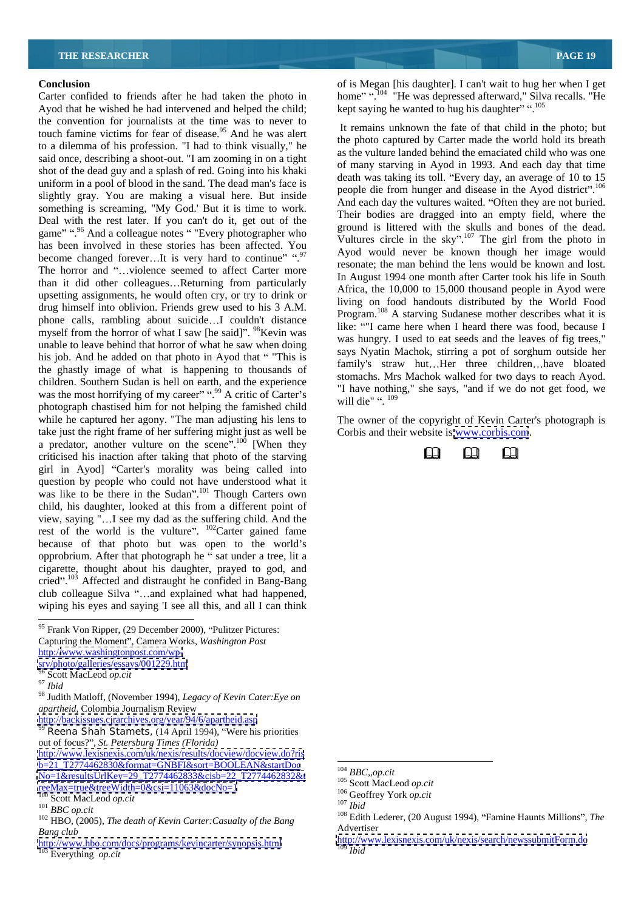Ayod that he wished he had intervened and helped the child; the convention for journalists at the time was to never to touch famine victims for fear of disease.<sup>95</sup> And he was alert to a dilemma of his profession. "I had to think visually," he said once, describing a shoot-out. "I am zooming in on a tight shot of the dead guy and a splash of red. Going into his khaki uniform in a pool of blood in the sand. The dead man's face is slightly gray. You are making a visual here. But inside something is screaming, "My God.' But it is time to work. Deal with the rest later. If you can't do it, get out of the game" ".<sup>96</sup> And a colleague notes " "Every photographer who has been involved in these stories has been affected. You become changed forever...It is very hard to continue"  $\cdot$ .<sup>97</sup> The horror and "...violence seemed to affect Carter more than it did other colleagues...Returning from particularly upsetting assignments, he would often cry, or try to drink or drug himself into oblivion. Friends grew used to his 3 A.M. phone calls, rambling about suicide...I couldn't distance myself from the horror of what I saw [he said]".  $98$ Kevin was unable to leave behind that horror of what he saw when doing his job. And he added on that photo in Ayod that "This is the ghastly image of what is happening to thousands of was me most normying or my career  $\therefore$  A critic of Carter's  $\frac{100}{100}$  will die". <sup>109</sup><br>photograph chastised him for not helping the famished child while he captured her agony. "The man adjusting his lens to The owner of the copyright of Kevin Carter's photograph is take just the right frame of her suffering might just as well be a predator, another vulture on the scene.<sup>1,100</sup> [When they<br>criticised bis inaction after taking that photo of the starving criticised his inaction after taking that photo of the starving girl in Ayod] "Carter's morality was being called into question by people who could not have understood what it was like to be there in the Sudan". $^{101}$  Though Carters own child, his daughter, looked at this from a different point of view, saying "...I see my dad as the suffering child. And the rest of the world is the vulture".  $^{102}$ Carter gained fame because of that photo but was open to the world's opprobrium. After that photograph he " sat under a tree, lit a cigarette, thought about his daughter, prayed to god, and cried".<sup>103</sup> Affected and distraught he confided in Bang-Bang club colleague Silva "...and explained what had happened, wiping his eyes and saying 'I see all this, and all I can think

<http://backissues.cjrarchives.org/year/94/6/apartheid.asp>

<sup>99</sup> Reena Shah Stamets, (14 April 1994), "Were his priorities out of focus?", *St. Petersburg Times (Florida)* <http://www.lexisnexis.com/uk/nexis/results/docview/docview.do?ris>  $b=21$ \_T2774462830&format=GNBFI&sort=BOOLEAN&startDoc

 $\frac{N_0=1\&\text{resultsUrlKey}=29T2774462833\&\text{cis}b=22T2774462832\&\text{cis}t}{105}\n\text{Scott MacLeod }opt.$  $\frac{100}{100}$  Scott MacLeod *op.cit*<br>  $\frac{100}{100}$  Scott MacLeod *op.cit*<br>  $\frac{100}{100}$  Scott MacLeod *op.cit* 

**Conclusion Conclusion Conclusion Conclusion Conclusion Conclusion Conclusion Conclusion Conclusion Conclusion Conclusion Conclusion Conclusion Conclusion Conclusion Conclusion Conclusion** Carter confided to friends after he had taken the photo in home".<sup>104</sup> "He was depressed afterward," Silva recalls. "He kept saying he wanted to hug his daughter" ".<sup>105</sup>

children. Southern Sudan is hell on earth, and the experience  $\frac{1}{100}$  is the series the series the series of the dependence of the series of the series of the series of the series of the series of the series of the se was the most horrifying of my career"...<sup>99</sup> A critic of Carter's  $\frac{1}{2}$  have nothing, she says, and if we do not get flood, we It remains unknown the fate of that child in the photo; but the photo captured by Carter made the world hold its breath as the vulture landed behind the emaciated child who was one of many starving in Ayod in 1993. And each day that time death was taking its toll. "Every day, an average of 10 to 15 people die from hunger and disease in the Ayod district".<sup>106</sup> And each day the vultures waited. "Often they are not buried. Their bodies are dragged into an empty field, where the ground is littered with the skulls and bones of the dead. Vultures circle in the sky".<sup>107</sup> The girl from the photo in Ayod would never be known though her image would resonate; the man behind the lens would be known and lost. In August 1994 one month after Carter took his life in South Africa, the 10,000 to 15,000 thousand people in Ayod were living on food handouts distributed by the World Food Program.<sup>108</sup> A starving Sudanese mother describes what it is like: "I came here when I heard there was food, because I was hungry. I used to eat seeds and the leaves of fig trees," says Nyatin Machok, stirring a pot of sorghum outside her family's straw hut...Her three children...have bloated stomachs. Mrs Machok walked for two days to reach Ayod. "I have nothing," she says, "and if we do not get food, we will die" ".  $^{109}$ 

Corbis and their website is [www.corbis.com](http://www.corbis.com).



<sup>95</sup> Frank Von Ripper, (29 December 2000), "Pulitzer Pictures: Capturing the Moment", Camera Works, *Washington Post* 

http:/[/www.washingtonpost.com/wp-](http://www.washingtonpost.com/wp-)<br>sry/photo/galleries/essays/001229.htm <srv/photo/galleries/essays/001229.htm>

<sup>96</sup> Scott MacLeod *op.cit* <sup>97</sup> *Ibid*

<sup>97</sup> Ibid<br><sup>97</sup> Ibid<br><sup>98</sup> Judith Matloff, (November 1994), *Legacy of Kevin Cater:Eye on*<br>*apartheid*, Colombia Journalism Review *apartheid,* Colombia Journalism Review

*Bang club* Advertiser

<http://www.hbo.com/docs/programs/kevincarter/synopsis.html> http://www.hbo.com/docs/programs/kevincarter/synopsis.html  $\frac{http://w}{109}$  Ibid

<sup>104</sup> *BBC,,op.cit* 105 Scott MacLeod *op.cit* 106 Geoffrey York *op.cit*<sup>107</sup> *Ibid*

<sup>&</sup>lt;sup>100</sup> Scott MacLeod *op.cit*<br>
<sup>101</sup> *BBC op.cit*<br>
<sup>102</sup> BBC *op.cit*<br>
<sup>102</sup> HBO, (2005), *The death of Kevin Carter:Casualty of the Bang* <sup>108</sup> Edith Lederer, (20 August 1994), "Famine Haunts Millions", *The* 107 Bid<br><sup>107</sup> Ibid<br><sup>108</sup> Edith Lederer, (20 August 1994), "Famine Haunts Millions", *The* 

<http://www.lexisnexis.com/uk/nexis/search/newssubmitForm.do> <sup>109</sup> *Ibid*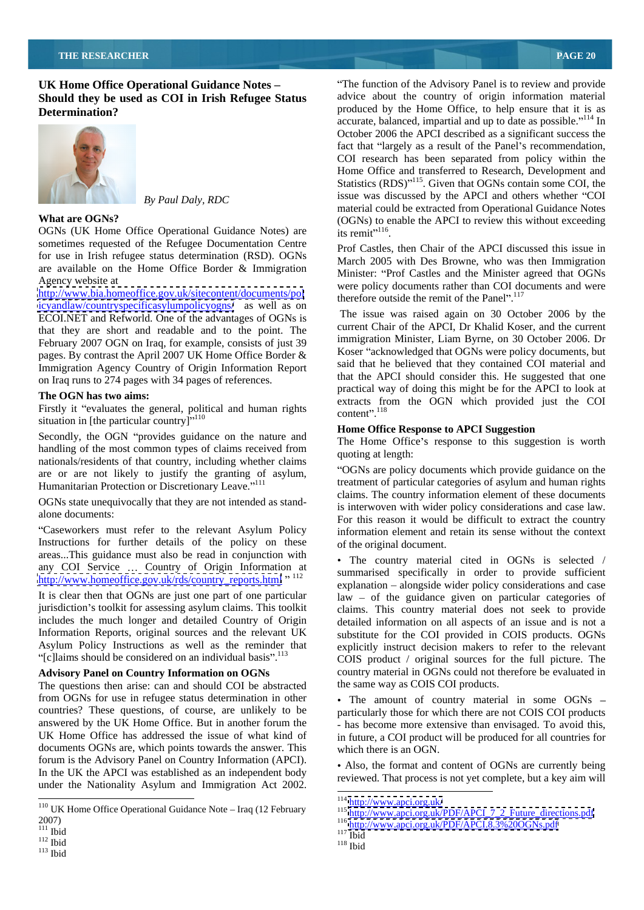**UK Home Office Operational Guidance Notes -** "The function of the Advisory Panel is to review and provide **Should they be used as COI in Irish Refugee Status**



OGNs (UK Home Office Operational Guidance Notes) are its remit<sup>"116</sup>. sometimes requested of the Refugee Documentation Centre for use in Irish refugee status determination (RSD). OGNs are available on the Home Office Border & Immigration

<http://www.bia.homeoffice.gov.uk/sitecontent/documents/pol> <icyandlaw/countryspecificasylumpolicyogns/> as well as on ECOI.NET and Refworld. One of the advantages of OGNs is that they are short and readable and to the point. The February 2007 OGN on Iraq, for example, consists of just 39 pages. By contrast the April 2007 UK Home Office Border & Immigration Agency Country of Origin Information Report on Iraq runs to 274 pages with 34 pages of references.

Firstly it "evaluates the general, political and human rights situation in [the particular country] $\cdot$ <sup>110</sup>

Secondly, the OGN "provides guidance on the nature and handling of the most common types of claims received from nationals/residents of that country, including whether claims are or are not likely to justify the granting of asylum, Humanitarian Protection or Discretionary Leave."

OGNs state unequivocally that they are not intended as stand-

Instructions for further details of the policy on these areas...This guidance must also be read in conjunction with any COI Service ... Country of Origin Information at http://www.homeoffice.gov.uk/rds/country\_reports.html " <sup>112</sup>

"[c]laims should be considered on an individual basis". $^{113}$ 

The questions then arise: can and should COI be abstracted from OGNs for use in refugee status determination in other • The amount of country material in some OGNs – countries? These questions, of course, are unlikely to be answered by the UK Home Office. But in another forum the UK Home Office has addressed the issue of what kind of documents OGNs are, which points towards the answer. This forum is the Advisory Panel on Country Information (APCI). In the UK the APCI was established as an independent body under the Nationality Asylum and Immigration Act 2002.

**Determination? Consumer in the Set of the Home Office**, to help ensure that it is as *By Paul Daly, RDC* issue was discussed by the APCI and others whether COI **What are OGNs?** (OGNs) to enable the APCI to review this without exceeding advice about the country of origin information material accurate, balanced, impartial and up to date as possible. $114$  In October 2006 the APCI described as a significant success the fact that "largely as a result of the Panel's recommendation, COI research has been separated from policy within the Home Office and transferred to Research, Development and Statistics (RDS)<sup>115</sup>. Given that OGNs contain some COI, the issue was discussed by the APCI and others whether "COI material could be extracted from Operational Guidance Notes its remit $^{116}$ . .<br>1980 - Paul Barbara, politikar eta espainiar eta espainiar eta espainiar eta espainiar eta espainiar eta espai

Agency website at **EXECUTE Agency** website at **the state of the state of the state of the state of the state of the state of the state of the state of the state of the state of the state of the state of the state of the st** Prof Castles, then Chair of the APCI discussed this issue in March 2005 with Des Browne, who was then Immigration Minister: "Prof Castles and the Minister agreed that OGNs therefore outside the remit of the Panel".<sup>117</sup>

**The OGN has two aims:**<br>
Extracts from the OGN which provided just the COI The issue was raised again on 30 October 2006 by the current Chair of the APCI, Dr Khalid Koser, and the current immigration Minister, Liam Byrne, on 30 October 2006. Dr Koser "acknowledged that OGNs were policy documents, but said that he believed that they contained COI material and that the APCI should consider this. He suggested that one practical way of doing this might be for the APCI to look at  $content$ ".<sup>118</sup> content".<sup>118</sup>

### **Home Office Response to APCI Suggestion**

The Home Office's response to this suggestion is worth quoting at length:

alone documents:<br>For this reason it would be difficult to extract the country Caseworkers must refer to the relevant Asylum Policy information element and retain its sense without the context OGNs are policy documents which provide guidance on the treatment of particular categories of asylum and human rights claims. The country information element of these documents is interwoven with wider policy considerations and case law. of the original document.

 $\frac{http://www.homeoffic.gov.uk/rds/country reports.html}{etip://www.homeoffic.gov.uk/rds/country reports.html}$ <br>It is clear then that OGNs are just one part of one particular<br>It is clear then that OGNs are just one part of one particular<br>Iaw – of the guidance given on particular categories jurisdiction's toolkit for assessing asylum claims. This toolkit claims. This country material does not seek to provide includes the much longer and detailed Country of Origin detailed information on all aspects of an issue and is not a Information Reports, original sources and the relevant UK substitute for the COI provided in COIS products. OGNs Asylum Policy Instructions as well as the reminder that explicitly instruct decision makers to refer to the relevant Advisory Panel on Country Information on OGNs country material in OGNs could not therefore be evaluated in The country material cited in OGNs is selected / summarised specifically in order to provide sufficient explanation – alongside wider policy considerations and case  $law - of the guidance given on particular categories of$ COIS product / original sources for the full picture. The the same way as COIS COI products.

> particularly those for which there are not COIS COI products - has become more extensive than envisaged. To avoid this, in future, a COI product will be produced for all countries for which there is an OGN.

> • Also, the format and content of OGNs are currently being reviewed. That process is not yet complete, but a key aim will

<sup>&</sup>lt;sup>110</sup> UK Home Office Operational Guidance Note – Iraq (12 February<br>
<sup>114</sup> http://www.apci.org.uk/PDF/APCI 7 2 Future directions.pdf<br>
<sup>116</sup> http://www.apci.org.uk/PDF/APCI 7 2 Future directions.pdf<br>
<sup>116</sup> http://www.apci.or 2007)<br>
<sup>116</sup> http://www.apci.org.uk/PDF/APCI.8.3%20OGNs.pdf<br>
<sup>117</sup> Ibid<br>
<sup>118</sup> Ibid<br>
<sup>118</sup> Ibid<br>
<sup>118</sup> Ibid

 $\frac{112}{h}$  Ibid  $\frac{118}{h}$  Ibid

<sup>&</sup>lt;sup>113</sup> Ibid and the set of the set of the set of the set of the set of the set of the set of the set of the set of the set of the set of the set of the set of the set of the set of the set of the set of the set of the set o

<sup>114</sup> <http://www.apci.org.uk/><br>
115 [http://www.apci.org.uk/PDF/APCI\\_7\\_2\\_Future\\_directions.pdf](http://www.apci.org.uk/PDF/APCI_7_2_Future_directions.pdf)<br>
116 <http://www.apci.org.uk/PDF/APCI.8.3%20OGNs.pdf><br>
117 Ibid

<sup>118</sup> Ibid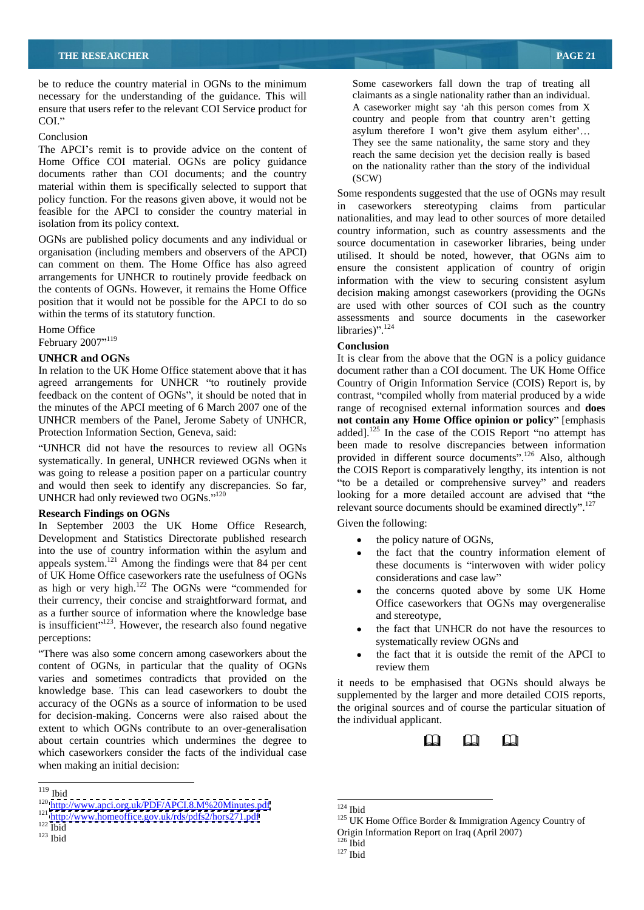be to reduce the country material in OGNs to the minimum necessary for the understanding of the guidance. This will ensure that users refer to the relevant COI Service product for COI." country and people from that country aren't getting

The APCI's remit is to provide advice on the content of Home Office COI material. OGNs are policy guidance documents rather than COI documents; and the country (SCW) material within them is specifically selected to support that policy function. For the reasons given above, it would not be  $\frac{50}{10}$ feasible for the APCI to consider the country material in

OGNs are published policy documents and any individual or organisation (including members and observers of the APCI) can comment on them. The Home Office has also agreed arrangements for UNHCR to routinely provide feedback on the contents of OGNs. However, it remains the Home Office position that it would not be possible for the APCI to do so

February  $2007^{n119}$  conclusion conclusion February 2007"<sup>119</sup>

UNHCR did not have the resources to review all OGNs systematically. In general, UNHCR reviewed OGNs when it was going to release a position paper on a particular country and would then seek to identify any discrepancies. So far, UNHCR had only reviewed two OGNs."<sup>120</sup>

**Research Findings on OGNs**<br>
In September 2003, the HK Home Office Research Given the following: In September 2003 the UK Home Office Research, Development and Statistics Directorate published research into the use of country information within the asylum and appeals system.<sup>121</sup> Among the findings were that  $84$  per cent of UK Home Office caseworkers rate the usefulness of OGNs considerations and case law" as high or very high. $^{122}$  The OGNs were "commended for their currency, their concise and straightforward format, and as a further source of information where the knowledge base and stereotype. is insufficient<sup>",123</sup>. However, the research also found negative  $\bullet$  the fact that UNHCR do not have the resources to

There was also some concern among caseworkers about the content of OGNs, in particular that the quality of OGNs varies and sometimes contradicts that provided on the knowledge base. This can lead caseworkers to doubt the accuracy of the OGNs as a source of information to be used for decision-making. Concerns were also raised about the extent to which OGNs contribute to an over-generalisation about certain countries which undermines the degree to which caseworkers consider the facts of the individual case when making an initial decision:

Conclusion<br>They see the same nationality, the same story and they<br>They see the same nationality, the same story and they Some caseworkers fall down the trap of treating all claimants as a single nationality rather than an individual. A caseworker might say 'ah this person comes from  $X$ asylum therefore I won't give them asylum either'... reach the same decision yet the decision really is based on the nationality rather than the story of the individual (SCW)

isolation from its policy context.<br>
country information, such as country assessments and the within the terms of its statutory function. assessments and source documents in the caseworker Home Office  $\qquad \qquad$  libraries)".<sup>124</sup> 119 Some respondents suggested that the use of OGNs may result caseworkers stereotyping claims from particular nationalities, and may lead to other sources of more detailed source documentation in caseworker libraries, being under utilised. It should be noted, however, that OGNs aim to ensure the consistent application of country of origin information with the view to securing consistent asylum decision making amongst caseworkers (providing the OGNs are used with other sources of COI such as the country  $\text{libraries)}$ .<sup>124</sup>

### **Conclusion**

UNHCR and OGNs **It is clear from the above that the OGN** is a policy guidance In relation to the UK Home Office statement above that it has document rather than a COI document. The UK Home Office agreed arrangements for UNHCR "to routinely provide Country of Origin Information Service (COIS) Report is, by feedback on the content of OGNs", it should be noted that in contrast, "compiled wholly from material produced by a wide the minutes of the APCI meeting of 6 March 2007 one of the range of recognised external information sources and **does**  UNHCR members of the Panel, Jerome Sabety of UNHCR, **not contain any Home Office opinion or policy** [emphasis Protection Information Section, Geneva, said: added].<sup>125</sup> In the case of the COIS Report "no attempt has been made to resolve discrepancies between information provided in different source documents".<sup>126</sup> Also, although the COIS Report is comparatively lengthy, its intention is not "to be a detailed or comprehensive survey" and readers looking for a more detailed account are advised that "the relevant source documents should be examined directly".<sup>127</sup><br>Given the following:

- the policy nature of OGNs,
- the fact that the country information element of these documents is "interwoven with wider policy considerations and case law
- the concerns quoted above by some UK Home Office caseworkers that OGNs may overgeneralise and stereotype,
- perceptions: systematically review OGNs and the fact that UNHCR do not have the resources to
	- the fact that it is outside the remit of the APCI to review them **reading** the state of  $\theta$  and  $\theta$  and  $\theta$  and  $\theta$  and  $\theta$  and  $\theta$  and  $\theta$  and  $\theta$  and  $\theta$  and  $\theta$  and  $\theta$  and  $\theta$  and  $\theta$  and  $\theta$  and  $\theta$  and  $\theta$  and  $\theta$  and  $\theta$  and  $\theta$  and  $\theta$  and  $\theta$  an

it needs to be emphasised that OGNs should always be supplemented by the larger and more detailed COIS reports, the original sources and of course the particular situation of the individual applicant.



 <sup>119</sup> Ibid

 <sup>124</sup> Ibid

<sup>&</sup>lt;sup>120</sup> http://www.apci.org.uk/PDF/APCI.8.M%20Minutes.pdf<br>
<sup>121</sup> <http://www.homeoffice.gov.uk/rds/pdfs2/hors271.pdf><sup>125</sup> UK Home Office Border & Immigration Agency Country of<br>
<sup>122</sup> Ibid <sup>124</sup> Ibid<br><sup>125</sup> UK Home Office Border & Immigration Agency Country of<br>Origin Information Report on Iraq (April 2007)

 $\frac{123}{126}$  Ibid<br> $\frac{126}{164}$ Origin Information Report on Iraq (April 2007)<br><sup>126</sup> Ibid

<sup>127</sup> Ibid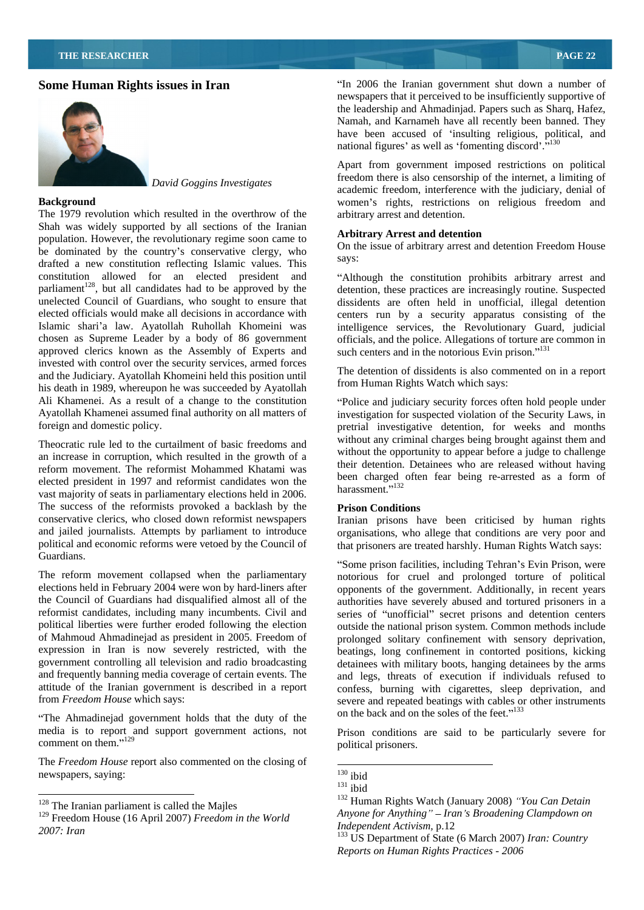

The 1979 revolution which resulted in the overthrow of the Shah was widely supported by all sections of the Iranian<br>Arbitrary Arrest and detention population. However, the revolutionary regime soon came to be dominated by the country's conservative clergy, who  $\frac{60 \text{ m/s}}{100 \text{ s}}$  says: drafted a new constitution reflecting Islamic values. This constitution allowed for an elected president and Although the constitution prohibits arbitrary arrest and parliament<sup>128</sup>, but all candidates had to be approved by the unelected Council of Guardians, who sought to ensure that unelected Council of Guardians, who sought to ensure that dissidents are often held in unofficial, illegal detention elected officials would make all decisions in accordance with centers run by a security apparatus consisting of the Islamic shari'a law. Ayatollah Ruhollah Khomeini was intelligence services, the Revolutionary Guard, judicial chosen as Supreme Leader by a body of 86 government officials, and the police. Allegations of torture are common in approved clerics known as the Assembly of Experts and invested with control over the security services, armed forces and the Judiciary. Ayatollah Khomeini held this position until his death in 1989, whereupon he was succeeded by Ayatollah Ali Khamenei. As a result of a change to the constitution Police and judiciary security forces often hold people under Ayatollah Khamenei assumed final authority on all matters of investigation for suspected violation of the Security Laws, in

Theocratic rule led to the curtailment of basic freedoms and an increase in corruption, which resulted in the growth of a reform movement. The reformist Mohammed Khatami was elected president in 1997 and reformist candidates won the been charged<br>narrows majority of each in position of the distribution below. vast majority of seats in parliamentary elections held in 2006. The success of the reformists provoked a backlash by the Prison Conditions conservative clerics, who closed down reformist newspapers Iranian prisons have been criticised by human rights and jailed journalists. Attempts by parliament to introduce organisations, who allege that conditions are very poor and political and economic reforms were vetoed by the Council of that prisoners are treated harshly. Human Rights Watch says:

expression in Iran is now severely restricted, with the government controlling all television and radio broadcasting and frequently banning media coverage of certain events. The attitude of the Iranian government is described in a report from *Freedom House* which says:

The Ahmadinejad government holds that the duty of the media is to report and support government actions, not Prison conditions are said to be particularly severe for

The *Freedom House* report also commented on the closing of<br>newspapers, saying: newspapers, saying:  $\frac{130}{131}$  ibid

**Some Human Rights issues in Iran In 2006** the Iranian government shut down a number of newspapers that it perceived to be insufficiently supportive of the leadership and Ahmadinjad. Papers such as Sharq, Hafez, Namah, and Karnameh have all recently been banned. They have been accused of 'insulting religious, political, and national figures' as well as 'fomenting discord'. $\frac{130}{130}$ 

*David Goggins Investigates*<br>
academic freedom, interference with the judiciary, denial of **Background** women s rights, restrictions on religious freedom and Apart from government imposed restrictions on political freedom there is also censorship of the internet, a limiting of arbitrary arrest and detention.

### **Arbitrary Arrest and detention**

On the issue of arbitrary arrest and detention Freedom House says:

, but all candidates had to be approved by the detention, these practices are increasingly routine. Suspected such centers and in the notorious Evin prison." $131$ 

> The detention of dissidents is also commented on in a report from Human Rights Watch which says:

foreign and domestic policy. pretrial investigative detention, for weeks and months without any criminal charges being brought against them and without the opportunity to appear before a judge to challenge their detention. Detainees who are released without having been charged often fear being re-arrested as a form of harassment."<sup>132</sup>

### **Prison Conditions**

Guardians.<br>
Some prison facilities, including Tehran's Evin Prison, were The reform movement collapsed when the parliamentary notorious for cruel and prolonged torture of political elections held in February 2004 were won by hard-liners after opponents of the government. Additionally, in recent years the Council of Guardians had disqualified almost all of the authorities have severely abused and tortured prisoners in a reformist candidates, including many incumbents. Civil and series of "unofficial" secret prisons and detention centers political liberties were further eroded following the election outside the national prison system. Common methods include of Mahmoud Ahmadinejad as president in 2005. Freedom of prolonged solitary confinement with sensory deprivation, government controlling all television and radio broadcasting detainees with military boots, hanging detainees by the arms from *Freedom House* which says: severe and repeated beatings with cables or other instruments beatings, long confinement in contorted positions, kicking and legs, threats of execution if individuals refused to confess, burning with cigarettes, sleep deprivation, and on the back and on the soles of the feet."<sup>133</sup>

 $\mu$  comment on them."<sup>129</sup>  $\mu$  and  $\mu$  and  $\mu$  and  $\mu$  and  $\mu$  and  $\mu$  and  $\mu$  and  $\mu$  and  $\mu$  and  $\mu$  and  $\mu$  and  $\mu$  and  $\mu$  and  $\mu$  and  $\mu$  and  $\mu$  and  $\mu$  and  $\mu$  and  $\mu$  and  $\mu$  and  $\mu$  and  $\mu$ political prisoners.

<sup>129</sup> Freedom House (16 April 2007) *Freedom in the World 2007: Iran* <sup>133</sup> US Department of State (6 March 2007) *Iran: Country* 

 <sup>130</sup> ibid

<sup>131</sup> ibid

<sup>128</sup> The Iranian parliament is called the Majles<br>
<sup>132</sup> Human Rights Watch (January 2008) *'You Can Detain*<br>
<sup>132</sup> Human Rights Watch (January 2008) *'You Can Detain Anyone for Anything Iran s Broadening Clampdown on Independent Activism,* p.12

*Reports on Human Rights Practices - 2006*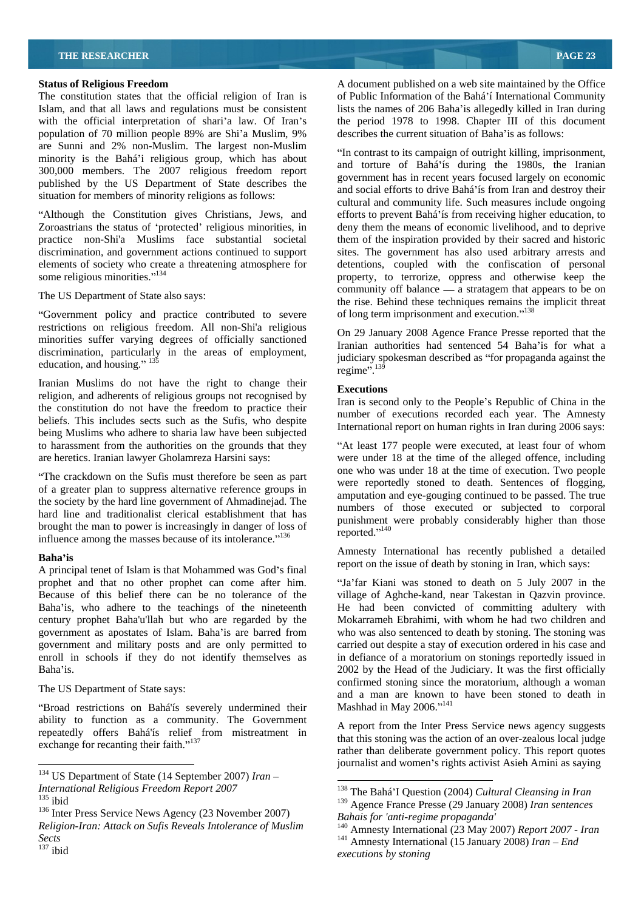The constitution states that the official religion of Iran is Islam, and that all laws and regulations must be consistent lists the names of 206 Baha'is allegedly killed in Iran during with the official interpretation of shari'a law. Of Iran's the period 1978 to 1998. Chapter III of this document population of 70 million people 89% are Shi'a Muslim, 9% are Sunni and 2% non-Muslim. The largest non-Muslim minority is the Bahá'i religious group, which has about 300,000 members. The 2007 religious freedom report published by the US Department of State describes the situation for members of minority religions as follows:

Zoroastrians the status of 'protected' religious minorities, in deny them the means of economic livelihood, and to deprive practice non-Shi'a Muslims face substantial societal them of the inspiration provided by their sacred and historic discrimination, and government actions continued to support sites. Thegovernment has also used arbitrary arrests and elements of society who create a threatening atmosphere for

restrictions on religious freedom. All non-Shi'a religious minorities suffer varying degrees of officially sanctioned discrimination, particularly in the areas of employment,  $\frac{1}{100}$  indicates and series and series of employment in the series of the series of the series of the series of the series of the series of the series of the s

Iranian Muslims do not have the right to change their religion, and adherents of religious groups not recognised by the constitution do not have the freedom to practice their beliefs. This includes sects such as the Sufis, who despite being Muslims who adhere to sharia law have been subjected to harassment from the authorities on the grounds that they "At least 177 people were executed, at least four of whom are heretics. Iranian lawyer Gholamreza Harsini says: were under 18 at the time of the alleged offence, including

The crackdown on the Sufis must therefore be seen as part of a greater plan to suppress alternative reference groups in the society by the hard line government of Ahmadinejad. The hard line and traditionalist clerical establishment that has brought the man to power is increasingly in danger of loss of punishment reported." $\frac{136}{100}$ influence among the masses because of its intolerance."<sup>136</sup>

A principal tenet of Islam is that Mohammed was God's final prophet and that no other prophet can come after him. "Ja'far Kiani was stoned to death on 5 July 2007 in the Because of this belief there can be no tolerance of the

"Broad restrictions on Bahá'ís severely undermined their Mashhad in May 2006."<sup>141</sup> ability to function as a community. The Government repeatedly offers Bahá'ís relief from mistreatment in exchange for recanting their faith."<sup>137</sup>

**Status of Religious Freedom** A document published on a web site maintained by the Office of Public Information of the Bahá í International Community describes the current situation of Baha' is as follows:

Although the Constitution gives Christians, Jews, and efforts to prevent Bahá ís from receiving higher education, to some religious minorities."<sup>134</sup> property, to terrorize, oppress and otherwise keep the The US Department of State also says:<br>the rise. Behind these techniques remains the implicit threat "Government policy and practice contributed to severe of long term imprisonment and execution."<sup>138</sup> In contrast to its campaign of outright killing, imprisonment, and torture of Bahá ís during the 1980s, the Iranian government has in recent years focused largely on economic and social efforts to drive Bahá'ís from Iran and destroy their cultural and community life. Such measures include ongoing detentions, coupled with the confiscation of personal community off balance  $\frac{1}{a}$  stratagem that appears to be on of long term imprisonment and execution."<sup>138</sup>

education, and housing." <sup>135</sup> education, and housing." <sup>135</sup> education, and housing." <sup>135</sup> On 29 January 2008 Agence France Presse reported that the Iranian authorities had sentenced 54 Baha'is for what a judiciary spokesman described as "for propaganda against the regime". $139$  $r_{\text{e}}$  regime".<sup>139</sup>

### **Executions**

Iran is second only to the People's Republic of China in the number of executions recorded each year. The Amnesty International report on human rights in Iran during 2006 says:

one who was under 18 at the time of execution. Two people were reportedly stoned to death. Sentences of flogging, amputation and eye-gouging continued to be passed. The true numbers of those executed or subjected to corporal punishment were probably considerably higher than those reported."<sup>140</sup>

**Baha'is**<br>
report on the issue of death by stoning in Iran, which says: Amnesty International has recently published a detailed

Baha is, who adhere to the teachings of the nineteenth He had been convicted of committing adultery with century prophet Baha'u'llah but who are regarded by the Mokarrameh Ebrahimi, with whom he had two children and government as apostates of Islam. Baha is are barred from who was also sentenced to death by stoning. The stoning was government and military posts and are only permitted to carried out despite a stay of execution ordered in his case and enroll in schools if they do not identify themselves as in defiance of a moratorium on stonings reportedly issued in Baha'is. 2002 by the Head of the Judiciary. It was the first officially The US Department of State says:<br>
and a man are known to have been stoned to death in village of Aghche-kand, near Takestan in Qazvin province. confirmed stoning since the moratorium, although a woman Mashhad in May  $2006$ ."<sup>141</sup>

> A report from the Inter Press Service news agency suggests that this stoning was the action of an over-zealous local judge rather than deliberate government policy. This report quotes journalist and women's rights activist Asieh Amini as saying

<sup>&</sup>lt;sup>134</sup> US Department of State (14 September 2007) *Iran –*<br>*International Religious Freedom Report 2007 International Religious Freedom Report 2007* 138 The Bahá <sup>I</sup> Question (2004) *Cultural Cleansing in Iran*

<sup>139</sup> Inter Dunia 1 Question (2007)<br>
<sup>136</sup> Inter Press Service News Agency (23 November 2007)<br>
<sup>136</sup> *Bahais for 'anti-regime propaganda'*<br> *Religion-Iran: Attack on Sufis Reveals Intolerance of Muslim*<br>
<sup>140</sup> Amnesty Intern

<sup>135</sup> ibid <sup>139</sup> Agence France Presse (29 January 2008) *Iran sentences* 

*Religion-Iran: Attack on Sufis Reveals Intolerance of Muslim*  $\frac{140}{4}$  Amnesty International (23 May 2007) *Report 2007 - Iran*<br>*Sects* <sup>141</sup> Amnesty International (15 January 2008) *Iran – End*<br>*executions by stoning* <sup>140</sup> Amnesty International (23 May 2007) *Report 2007 - Iran* <sup>141</sup> Amnesty International (15 January 2008) *Iran – End executions by stoning*